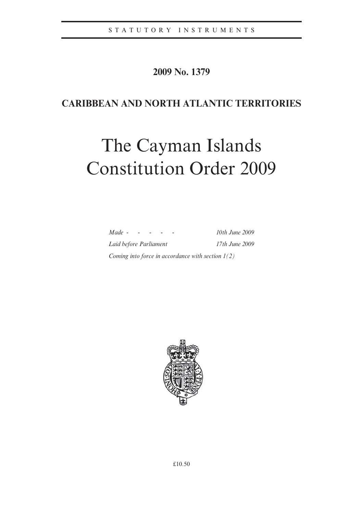# **2009 No. 1379**

# **CARIBBEAN AND NORTH ATLANTIC TERRITORIES**

# The Cayman Islands Constitution Order 2009

*Made ----- 10th June 2009 Laid before Parliament 17th June 2009 Coming into force in accordance with section 1(2)*

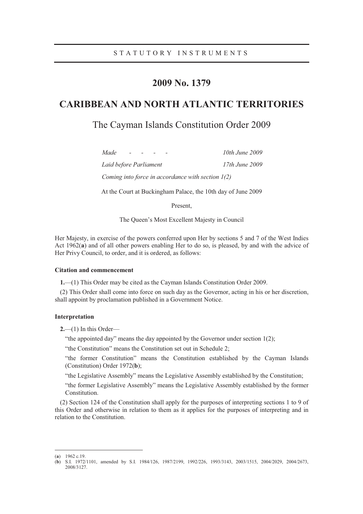## **2009 No. 1379**

## **CARIBBEAN AND NORTH ATLANTIC TERRITORIES**

## The Cayman Islands Constitution Order 2009

*Made - - - - 10th June 2009 Laid before Parliament 17th June 2009 Coming into force in accordance with section 1(2)* 

At the Court at Buckingham Palace, the 10th day of June 2009

Present,

The Queen's Most Excellent Majesty in Council

Her Majesty, in exercise of the powers conferred upon Her by sections 5 and 7 of the West Indies Act 1962(**a**) and of all other powers enabling Her to do so, is pleased, by and with the advice of Her Privy Council, to order, and it is ordered, as follows:

#### **Citation and commencement**

**1.**—(1) This Order may be cited as the Cayman Islands Constitution Order 2009.

(2) This Order shall come into force on such day as the Governor, acting in his or her discretion, shall appoint by proclamation published in a Government Notice.

#### **Interpretation**

**2.**—(1) In this Order—

"the appointed day" means the day appointed by the Governor under section 1(2);

"the Constitution" means the Constitution set out in Schedule 2;

"the former Constitution" means the Constitution established by the Cayman Islands (Constitution) Order 1972(**b**);

"the Legislative Assembly" means the Legislative Assembly established by the Constitution;

"the former Legislative Assembly" means the Legislative Assembly established by the former Constitution.

(2) Section 124 of the Constitution shall apply for the purposes of interpreting sections 1 to 9 of this Order and otherwise in relation to them as it applies for the purposes of interpreting and in relation to the Constitution.

 $\overline{a}$ 

<sup>(</sup>**a**) 1962 c.19.

<sup>(</sup>**b**) S.I. 1972/1101, amended by S.I. 1984/126, 1987/2199, 1992/226, 1993/3143, 2003/1515, 2004/2029, 2004/2673, 2008/3127.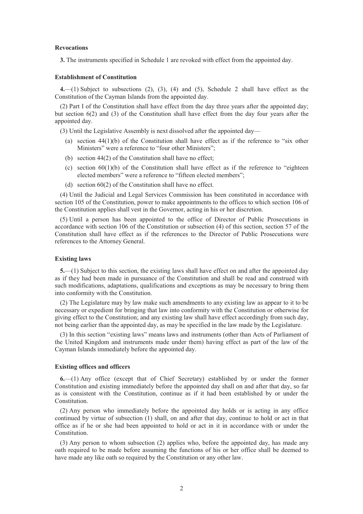#### **Revocations**

**3.** The instruments specified in Schedule 1 are revoked with effect from the appointed day.

#### **Establishment of Constitution**

**4.**—(1) Subject to subsections (2), (3), (4) and (5), Schedule 2 shall have effect as the Constitution of the Cayman Islands from the appointed day.

(2) Part I of the Constitution shall have effect from the day three years after the appointed day; but section 6(2) and (3) of the Constitution shall have effect from the day four years after the appointed day.

(3) Until the Legislative Assembly is next dissolved after the appointed day—

- (a) section 44(1)(b) of the Constitution shall have effect as if the reference to "six other Ministers" were a reference to "four other Ministers":
- (b) section 44(2) of the Constitution shall have no effect;
- (c) section  $60(1)(b)$  of the Constitution shall have effect as if the reference to "eighteen" elected members" were a reference to "fifteen elected members":
- (d) section 60(2) of the Constitution shall have no effect.

(4) Until the Judicial and Legal Services Commission has been constituted in accordance with section 105 of the Constitution, power to make appointments to the offices to which section 106 of the Constitution applies shall vest in the Governor, acting in his or her discretion.

(5) Until a person has been appointed to the office of Director of Public Prosecutions in accordance with section 106 of the Constitution or subsection (4) of this section, section 57 of the Constitution shall have effect as if the references to the Director of Public Prosecutions were references to the Attorney General.

#### **Existing laws**

**5.**—(1) Subject to this section, the existing laws shall have effect on and after the appointed day as if they had been made in pursuance of the Constitution and shall be read and construed with such modifications, adaptations, qualifications and exceptions as may be necessary to bring them into conformity with the Constitution.

(2) The Legislature may by law make such amendments to any existing law as appear to it to be necessary or expedient for bringing that law into conformity with the Constitution or otherwise for giving effect to the Constitution; and any existing law shall have effect accordingly from such day, not being earlier than the appointed day, as may be specified in the law made by the Legislature.

(3) In this section "existing laws" means laws and instruments (other than Acts of Parliament of the United Kingdom and instruments made under them) having effect as part of the law of the Cayman Islands immediately before the appointed day.

#### **Existing offices and officers**

**6.**—(1) Any office (except that of Chief Secretary) established by or under the former Constitution and existing immediately before the appointed day shall on and after that day, so far as is consistent with the Constitution, continue as if it had been established by or under the Constitution.

(2) Any person who immediately before the appointed day holds or is acting in any office continued by virtue of subsection (1) shall, on and after that day, continue to hold or act in that office as if he or she had been appointed to hold or act in it in accordance with or under the Constitution.

(3) Any person to whom subsection (2) applies who, before the appointed day, has made any oath required to be made before assuming the functions of his or her office shall be deemed to have made any like oath so required by the Constitution or any other law.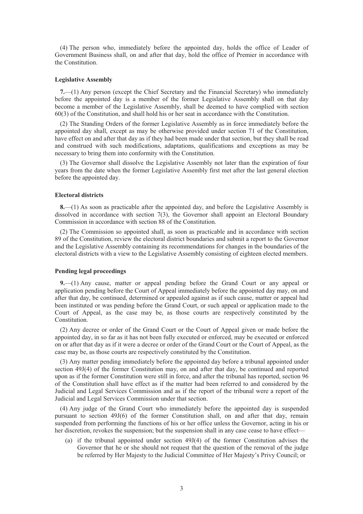(4) The person who, immediately before the appointed day, holds the office of Leader of Government Business shall, on and after that day, hold the office of Premier in accordance with the Constitution.

#### **Legislative Assembly**

**7.**—(1) Any person (except the Chief Secretary and the Financial Secretary) who immediately before the appointed day is a member of the former Legislative Assembly shall on that day become a member of the Legislative Assembly, shall be deemed to have complied with section 60(3) of the Constitution, and shall hold his or her seat in accordance with the Constitution.

(2) The Standing Orders of the former Legislative Assembly as in force immediately before the appointed day shall, except as may be otherwise provided under section 71 of the Constitution, have effect on and after that day as if they had been made under that section, but they shall be read and construed with such modifications, adaptations, qualifications and exceptions as may be necessary to bring them into conformity with the Constitution.

(3) The Governor shall dissolve the Legislative Assembly not later than the expiration of four years from the date when the former Legislative Assembly first met after the last general election before the appointed day.

#### **Electoral districts**

**8.**—(1) As soon as practicable after the appointed day, and before the Legislative Assembly is dissolved in accordance with section 7(3), the Governor shall appoint an Electoral Boundary Commission in accordance with section 88 of the Constitution.

(2) The Commission so appointed shall, as soon as practicable and in accordance with section 89 of the Constitution, review the electoral district boundaries and submit a report to the Governor and the Legislative Assembly containing its recommendations for changes in the boundaries of the electoral districts with a view to the Legislative Assembly consisting of eighteen elected members.

#### **Pending legal proceedings**

**9.**—(1) Any cause, matter or appeal pending before the Grand Court or any appeal or application pending before the Court of Appeal immediately before the appointed day may, on and after that day, be continued, determined or appealed against as if such cause, matter or appeal had been instituted or was pending before the Grand Court, or such appeal or application made to the Court of Appeal, as the case may be, as those courts are respectively constituted by the Constitution.

(2) Any decree or order of the Grand Court or the Court of Appeal given or made before the appointed day, in so far as it has not been fully executed or enforced, may be executed or enforced on or after that day as if it were a decree or order of the Grand Court or the Court of Appeal, as the case may be, as those courts are respectively constituted by the Constitution.

(3) Any matter pending immediately before the appointed day before a tribunal appointed under section 49J(4) of the former Constitution may, on and after that day, be continued and reported upon as if the former Constitution were still in force, and after the tribunal has reported, section 96 of the Constitution shall have effect as if the matter had been referred to and considered by the Judicial and Legal Services Commission and as if the report of the tribunal were a report of the Judicial and Legal Services Commission under that section.

(4) Any judge of the Grand Court who immediately before the appointed day is suspended pursuant to section 49J(6) of the former Constitution shall, on and after that day, remain suspended from performing the functions of his or her office unless the Governor, acting in his or her discretion, revokes the suspension; but the suspension shall in any case cease to have effect-

(a) if the tribunal appointed under section 49J(4) of the former Constitution advises the Governor that he or she should not request that the question of the removal of the judge be referred by Her Majesty to the Judicial Committee of Her Majesty's Privy Council; or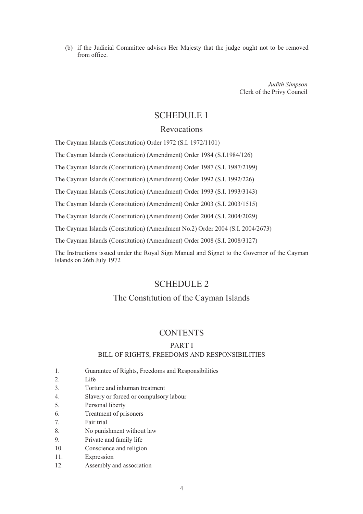(b) if the Judicial Committee advises Her Majesty that the judge ought not to be removed from office.

> *Judith Simpson* Clerk of the Privy Council

## SCHEDULE 1

## Revocations

The Cayman Islands (Constitution) Order 1972 (S.I. 1972/1101)

The Cayman Islands (Constitution) (Amendment) Order 1984 (S.I.1984/126)

The Cayman Islands (Constitution) (Amendment) Order 1987 (S.I. 1987/2199)

The Cayman Islands (Constitution) (Amendment) Order 1992 (S.I. 1992/226)

The Cayman Islands (Constitution) (Amendment) Order 1993 (S.I. 1993/3143)

The Cayman Islands (Constitution) (Amendment) Order 2003 (S.I. 2003/1515)

The Cayman Islands (Constitution) (Amendment) Order 2004 (S.I. 2004/2029)

The Cayman Islands (Constitution) (Amendment No.2) Order 2004 (S.I. 2004/2673)

The Cayman Islands (Constitution) (Amendment) Order 2008 (S.I. 2008/3127)

The Instructions issued under the Royal Sign Manual and Signet to the Governor of the Cayman Islands on 26th July 1972

## SCHEDULE 2

## The Constitution of the Cayman Islands

## **CONTENTS**

#### PART I

#### BILL OF RIGHTS, FREEDOMS AND RESPONSIBILITIES

- 1. Guarantee of Rights, Freedoms and Responsibilities
- 2. Life
- 3. Torture and inhuman treatment
- 4. Slavery or forced or compulsory labour
- 5. Personal liberty
- 6. Treatment of prisoners
- 7. Fair trial
- 8. No punishment without law
- 9. Private and family life
- 10. Conscience and religion
- 11. Expression
- 12. Assembly and association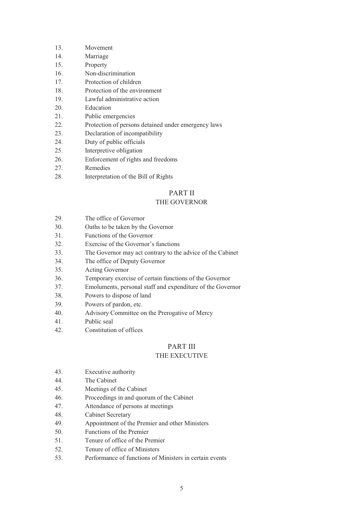- 13. Movement
- 14. Marriage
- 15. Property
- 16. Non-discrimination
- 17. Protection of children
- 18. Protection of the environment
- 19. Lawful administrative action
- 20. Education
- 21. Public emergencies
- 22. Protection of persons detained under emergency laws
- 23. Declaration of incompatibility
- 24. Duty of public officials
- 25. Interpretive obligation
- 26. Enforcement of rights and freedoms
- 27. Remedies
- 28. Interpretation of the Bill of Rights

## PART II

## THE GOVERNOR

- 29. The office of Governor
- 30. Oaths to be taken by the Governor
- 31. Functions of the Governor
- 32. Exercise of the Governor's functions
- 33. The Governor may act contrary to the advice of the Cabinet
- 34. The office of Deputy Governor
- 35. Acting Governor
- 36. Temporary exercise of certain functions of the Governor
- 37. Emoluments, personal staff and expenditure of the Governor
- 38. Powers to dispose of land
- 39. Powers of pardon, etc.
- 40. Advisory Committee on the Prerogative of Mercy
- 41. Public seal
- 42. Constitution of offices

## PART III

## THE EXECUTIVE

- 43. Executive authority
- 44. The Cabinet
- 45. Meetings of the Cabinet
- 46. Proceedings in and quorum of the Cabinet
- 47. Attendance of persons at meetings
- 48. Cabinet Secretary
- 49. Appointment of the Premier and other Ministers
- 50. Functions of the Premier
- 51. Tenure of office of the Premier
- 52. Tenure of office of Ministers
- 53. Performance of functions of Ministers in certain events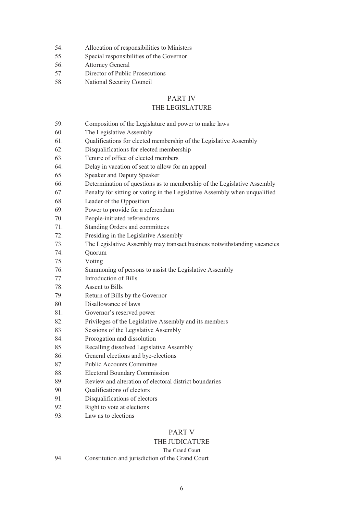- 54. Allocation of responsibilities to Ministers
- 55. Special responsibilities of the Governor
- 56. Attorney General
- 57. Director of Public Prosecutions
- 58. National Security Council

## PART IV

## THE LEGISLATURE

- 59. Composition of the Legislature and power to make laws
- 60. The Legislative Assembly
- 61. Qualifications for elected membership of the Legislative Assembly
- 62. Disqualifications for elected membership
- 63. Tenure of office of elected members
- 64. Delay in vacation of seat to allow for an appeal
- 65. Speaker and Deputy Speaker
- 66. Determination of questions as to membership of the Legislative Assembly
- 67. Penalty for sitting or voting in the Legislative Assembly when unqualified
- 68. Leader of the Opposition
- 69. Power to provide for a referendum
- 70. People-initiated referendums
- 71. Standing Orders and committees
- 72. Presiding in the Legislative Assembly
- 73. The Legislative Assembly may transact business notwithstanding vacancies
- 74. Quorum
- 75. Voting
- 76. Summoning of persons to assist the Legislative Assembly
- 77. Introduction of Bills
- 78. Assent to Bills
- 79. Return of Bills by the Governor
- 80. Disallowance of laws
- 81. Governor's reserved power
- 82. Privileges of the Legislative Assembly and its members
- 83. Sessions of the Legislative Assembly
- 84. Prorogation and dissolution
- 85. Recalling dissolved Legislative Assembly
- 86. General elections and bye-elections
- 87. Public Accounts Committee
- 88. Electoral Boundary Commission
- 89. Review and alteration of electoral district boundaries
- 90. Qualifications of electors
- 91. Disqualifications of electors
- 92. Right to vote at elections
- 93. Law as to elections

## PART V

#### THE JUDICATURE

#### The Grand Court

94. Constitution and jurisdiction of the Grand Court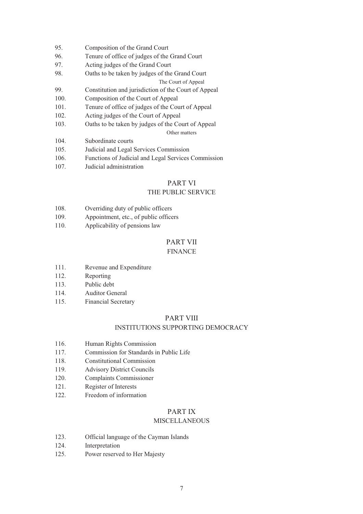- 95. Composition of the Grand Court
- 96. Tenure of office of judges of the Grand Court
- 97. Acting judges of the Grand Court
- 98. Oaths to be taken by judges of the Grand Court
- The Court of Appeal
- 99. Constitution and jurisdiction of the Court of Appeal
- 100. Composition of the Court of Appeal
- 101. Tenure of office of judges of the Court of Appeal
- 102. Acting judges of the Court of Appeal
- 103. Oaths to be taken by judges of the Court of Appeal

#### Other matters

- 104. Subordinate courts
- 105. Judicial and Legal Services Commission
- 106. Functions of Judicial and Legal Services Commission
- 107. Judicial administration

## PART VI

## THE PUBLIC SERVICE

- 108. Overriding duty of public officers
- 109. Appointment, etc., of public officers
- 110. Applicability of pensions law

## PART VII

## FINANCE

- 111. Revenue and Expenditure
- 112. Reporting
- 113. Public debt
- 114. Auditor General
- 115. Financial Secretary

## PART VIII

## INSTITUTIONS SUPPORTING DEMOCRACY

- 116. Human Rights Commission
- 117. Commission for Standards in Public Life
- 118. Constitutional Commission
- 119. Advisory District Councils
- 120. Complaints Commissioner
- 121. Register of Interests
- 122. Freedom of information

## PART IX

## **MISCELLANEOUS**

- 123. Official language of the Cayman Islands
- 124. Interpretation
- 125. Power reserved to Her Majesty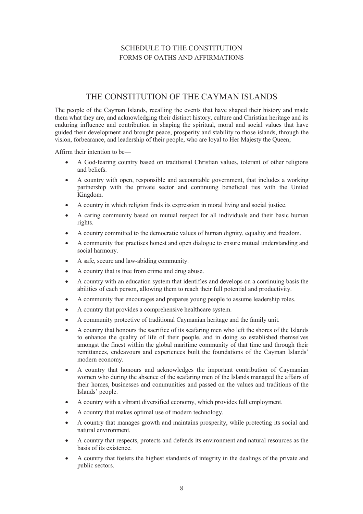## SCHEDULE TO THE CONSTITUTION FORMS OF OATHS AND AFFIRMATIONS

## THE CONSTITUTION OF THE CAYMAN ISLANDS

The people of the Cayman Islands, recalling the events that have shaped their history and made them what they are, and acknowledging their distinct history, culture and Christian heritage and its enduring influence and contribution in shaping the spiritual, moral and social values that have guided their development and brought peace, prosperity and stability to those islands, through the vision, forbearance, and leadership of their people, who are loyal to Her Majesty the Queen;

Affirm their intention to be—

- x A God-fearing country based on traditional Christian values, tolerant of other religions and beliefs.
- A country with open, responsible and accountable government, that includes a working partnership with the private sector and continuing beneficial ties with the United Kingdom.
- $\bullet$  A country in which religion finds its expression in moral living and social justice.
- A caring community based on mutual respect for all individuals and their basic human rights.
- A country committed to the democratic values of human dignity, equality and freedom.
- A community that practises honest and open dialogue to ensure mutual understanding and social harmony.
- A safe, secure and law-abiding community.
- A country that is free from crime and drug abuse.
- A country with an education system that identifies and develops on a continuing basis the abilities of each person, allowing them to reach their full potential and productivity.
- A community that encourages and prepares young people to assume leadership roles.
- A country that provides a comprehensive healthcare system.
- x A community protective of traditional Caymanian heritage and the family unit.
- A country that honours the sacrifice of its seafaring men who left the shores of the Islands to enhance the quality of life of their people, and in doing so established themselves amongst the finest within the global maritime community of that time and through their remittances, endeavours and experiences built the foundations of the Cayman Islands' modern economy.
- A country that honours and acknowledges the important contribution of Caymanian women who during the absence of the seafaring men of the Islands managed the affairs of their homes, businesses and communities and passed on the values and traditions of the Islands' people.
- A country with a vibrant diversified economy, which provides full employment.
- A country that makes optimal use of modern technology.
- A country that manages growth and maintains prosperity, while protecting its social and natural environment.
- x A country that respects, protects and defends its environment and natural resources as the basis of its existence.
- A country that fosters the highest standards of integrity in the dealings of the private and public sectors.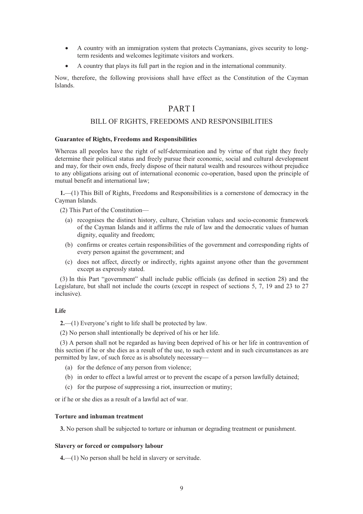- A country with an immigration system that protects Caymanians, gives security to longterm residents and welcomes legitimate visitors and workers.
- $\bullet$  A country that plays its full part in the region and in the international community.

Now, therefore, the following provisions shall have effect as the Constitution of the Cayman Islands.

## PART I

## BILL OF RIGHTS, FREEDOMS AND RESPONSIBILITIES

#### **Guarantee of Rights, Freedoms and Responsibilities**

Whereas all peoples have the right of self-determination and by virtue of that right they freely determine their political status and freely pursue their economic, social and cultural development and may, for their own ends, freely dispose of their natural wealth and resources without prejudice to any obligations arising out of international economic co-operation, based upon the principle of mutual benefit and international law;

**1.**—(1) This Bill of Rights, Freedoms and Responsibilities is a cornerstone of democracy in the Cayman Islands.

(2) This Part of the Constitution—

- (a) recognises the distinct history, culture, Christian values and socio-economic framework of the Cayman Islands and it affirms the rule of law and the democratic values of human dignity, equality and freedom;
- (b) confirms or creates certain responsibilities of the government and corresponding rights of every person against the government; and
- (c) does not affect, directly or indirectly, rights against anyone other than the government except as expressly stated.

(3) In this Part "government" shall include public officials (as defined in section 28) and the Legislature, but shall not include the courts (except in respect of sections 5, 7, 19 and 23 to 27 inclusive).

#### **Life**

**2.**—(1) Everyone's right to life shall be protected by law.

(2) No person shall intentionally be deprived of his or her life.

(3) A person shall not be regarded as having been deprived of his or her life in contravention of this section if he or she dies as a result of the use, to such extent and in such circumstances as are permitted by law, of such force as is absolutely necessary—

- (a) for the defence of any person from violence;
- (b) in order to effect a lawful arrest or to prevent the escape of a person lawfully detained;
- (c) for the purpose of suppressing a riot, insurrection or mutiny;

or if he or she dies as a result of a lawful act of war.

#### **Torture and inhuman treatment**

**3.** No person shall be subjected to torture or inhuman or degrading treatment or punishment.

#### **Slavery or forced or compulsory labour**

**4.**—(1) No person shall be held in slavery or servitude.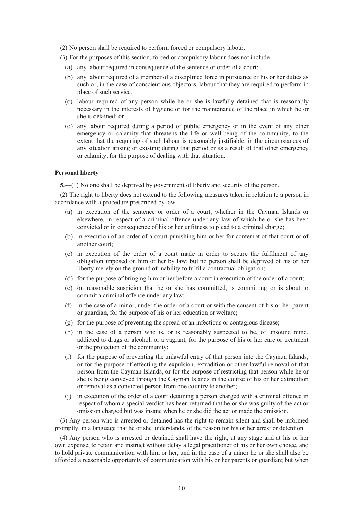(2) No person shall be required to perform forced or compulsory labour.

(3) For the purposes of this section, forced or compulsory labour does not include—

- (a) any labour required in consequence of the sentence or order of a court;
- (b) any labour required of a member of a disciplined force in pursuance of his or her duties as such or, in the case of conscientious objectors, labour that they are required to perform in place of such service;
- (c) labour required of any person while he or she is lawfully detained that is reasonably necessary in the interests of hygiene or for the maintenance of the place in which he or she is detained; or
- (d) any labour required during a period of public emergency or in the event of any other emergency or calamity that threatens the life or well-being of the community, to the extent that the requiring of such labour is reasonably justifiable, in the circumstances of any situation arising or existing during that period or as a result of that other emergency or calamity, for the purpose of dealing with that situation.

#### **Personal liberty**

**5.**—(1) No one shall be deprived by government of liberty and security of the person.

(2) The right to liberty does not extend to the following measures taken in relation to a person in accordance with a procedure prescribed by law—

- (a) in execution of the sentence or order of a court, whether in the Cayman Islands or elsewhere, in respect of a criminal offence under any law of which he or she has been convicted or in consequence of his or her unfitness to plead to a criminal charge;
- (b) in execution of an order of a court punishing him or her for contempt of that court or of another court;
- (c) in execution of the order of a court made in order to secure the fulfilment of any obligation imposed on him or her by law; but no person shall be deprived of his or her liberty merely on the ground of inability to fulfil a contractual obligation;
- (d) for the purpose of bringing him or her before a court in execution of the order of a court;
- (e) on reasonable suspicion that he or she has committed, is committing or is about to commit a criminal offence under any law;
- (f) in the case of a minor, under the order of a court or with the consent of his or her parent or guardian, for the purpose of his or her education or welfare;
- (g) for the purpose of preventing the spread of an infectious or contagious disease;
- (h) in the case of a person who is, or is reasonably suspected to be, of unsound mind, addicted to drugs or alcohol, or a vagrant, for the purpose of his or her care or treatment or the protection of the community;
- (i) for the purpose of preventing the unlawful entry of that person into the Cayman Islands, or for the purpose of effecting the expulsion, extradition or other lawful removal of that person from the Cayman Islands, or for the purpose of restricting that person while he or she is being conveyed through the Cayman Islands in the course of his or her extradition or removal as a convicted person from one country to another;
- (j) in execution of the order of a court detaining a person charged with a criminal offence in respect of whom a special verdict has been returned that he or she was guilty of the act or omission charged but was insane when he or she did the act or made the omission.

(3) Any person who is arrested or detained has the right to remain silent and shall be informed promptly, in a language that he or she understands, of the reason for his or her arrest or detention.

(4) Any person who is arrested or detained shall have the right, at any stage and at his or her own expense, to retain and instruct without delay a legal practitioner of his or her own choice, and to hold private communication with him or her, and in the case of a minor he or she shall also be afforded a reasonable opportunity of communication with his or her parents or guardian; but when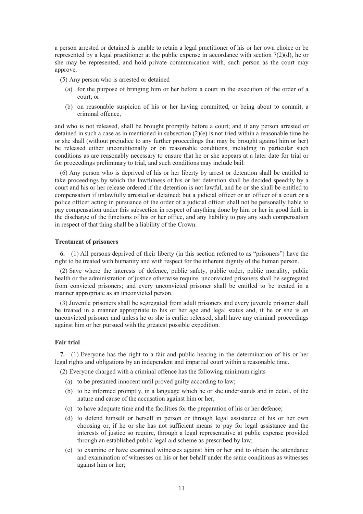a person arrested or detained is unable to retain a legal practitioner of his or her own choice or be represented by a legal practitioner at the public expense in accordance with section  $7(2)(d)$ , he or she may be represented, and hold private communication with, such person as the court may approve.

(5) Any person who is arrested or detained—

- (a) for the purpose of bringing him or her before a court in the execution of the order of a court; or
- (b) on reasonable suspicion of his or her having committed, or being about to commit, a criminal offence,

and who is not released, shall be brought promptly before a court; and if any person arrested or detained in such a case as in mentioned in subsection (2)(e) is not tried within a reasonable time he or she shall (without prejudice to any further proceedings that may be brought against him or her) be released either unconditionally or on reasonable conditions, including in particular such conditions as are reasonably necessary to ensure that he or she appears at a later date for trial or for proceedings preliminary to trial, and such conditions may include bail.

(6) Any person who is deprived of his or her liberty by arrest or detention shall be entitled to take proceedings by which the lawfulness of his or her detention shall be decided speedily by a court and his or her release ordered if the detention is not lawful, and he or she shall be entitled to compensation if unlawfully arrested or detained; but a judicial officer or an officer of a court or a police officer acting in pursuance of the order of a judicial officer shall not be personally liable to pay compensation under this subsection in respect of anything done by him or her in good faith in the discharge of the functions of his or her office, and any liability to pay any such compensation in respect of that thing shall be a liability of the Crown.

#### **Treatment of prisoners**

**6.**—(1) All persons deprived of their liberty (in this section referred to as "prisoners") have the right to be treated with humanity and with respect for the inherent dignity of the human person.

(2) Save where the interests of defence, public safety, public order, public morality, public health or the administration of justice otherwise require, unconvicted prisoners shall be segregated from convicted prisoners; and every unconvicted prisoner shall be entitled to be treated in a manner appropriate as an unconvicted person.

(3) Juvenile prisoners shall be segregated from adult prisoners and every juvenile prisoner shall be treated in a manner appropriate to his or her age and legal status and, if he or she is an unconvicted prisoner and unless he or she is earlier released, shall have any criminal proceedings against him or her pursued with the greatest possible expedition.

#### **Fair trial**

**7.**—(1) Everyone has the right to a fair and public hearing in the determination of his or her legal rights and obligations by an independent and impartial court within a reasonable time.

(2) Everyone charged with a criminal offence has the following minimum rights—

- (a) to be presumed innocent until proved guilty according to law;
- (b) to be informed promptly, in a language which he or she understands and in detail, of the nature and cause of the accusation against him or her;
- (c) to have adequate time and the facilities for the preparation of his or her defence;
- (d) to defend himself or herself in person or through legal assistance of his or her own choosing or, if he or she has not sufficient means to pay for legal assistance and the interests of justice so require, through a legal representative at public expense provided through an established public legal aid scheme as prescribed by law;
- (e) to examine or have examined witnesses against him or her and to obtain the attendance and examination of witnesses on his or her behalf under the same conditions as witnesses against him or her;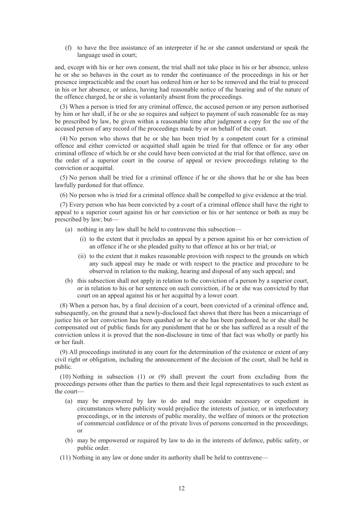(f) to have the free assistance of an interpreter if he or she cannot understand or speak the language used in court;

and, except with his or her own consent, the trial shall not take place in his or her absence, unless he or she so behaves in the court as to render the continuance of the proceedings in his or her presence impracticable and the court has ordered him or her to be removed and the trial to proceed in his or her absence, or unless, having had reasonable notice of the hearing and of the nature of the offence charged, he or she is voluntarily absent from the proceedings.

(3) When a person is tried for any criminal offence, the accused person or any person authorised by him or her shall, if he or she so requires and subject to payment of such reasonable fee as may be prescribed by law, be given within a reasonable time after judgment a copy for the use of the accused person of any record of the proceedings made by or on behalf of the court.

(4) No person who shows that he or she has been tried by a competent court for a criminal offence and either convicted or acquitted shall again be tried for that offence or for any other criminal offence of which he or she could have been convicted at the trial for that offence, save on the order of a superior court in the course of appeal or review proceedings relating to the conviction or acquittal.

(5) No person shall be tried for a criminal offence if he or she shows that he or she has been lawfully pardoned for that offence.

(6) No person who is tried for a criminal offence shall be compelled to give evidence at the trial.

(7) Every person who has been convicted by a court of a criminal offence shall have the right to appeal to a superior court against his or her conviction or his or her sentence or both as may be prescribed by law; but—

- (a) nothing in any law shall be held to contravene this subsection—
	- (i) to the extent that it precludes an appeal by a person against his or her conviction of an offence if he or she pleaded guilty to that offence at his or her trial; or
	- (ii) to the extent that it makes reasonable provision with respect to the grounds on which any such appeal may be made or with respect to the practice and procedure to be observed in relation to the making, hearing and disposal of any such appeal; and
- (b) this subsection shall not apply in relation to the conviction of a person by a superior court, or in relation to his or her sentence on such conviction, if he or she was convicted by that court on an appeal against his or her acquittal by a lower court.

(8) When a person has, by a final decision of a court, been convicted of a criminal offence and, subsequently, on the ground that a newly-disclosed fact shows that there has been a miscarriage of justice his or her conviction has been quashed or he or she has been pardoned, he or she shall be compensated out of public funds for any punishment that he or she has suffered as a result of the conviction unless it is proved that the non-disclosure in time of that fact was wholly or partly his or her fault.

(9) All proceedings instituted in any court for the determination of the existence or extent of any civil right or obligation, including the announcement of the decision of the court, shall be held in public.

(10) Nothing in subsection (1) or (9) shall prevent the court from excluding from the proceedings persons other than the parties to them and their legal representatives to such extent as the court—

- (a) may be empowered by law to do and may consider necessary or expedient in circumstances where publicity would prejudice the interests of justice, or in interlocutory proceedings, or in the interests of public morality, the welfare of minors or the protection of commercial confidence or of the private lives of persons concerned in the proceedings; or
- (b) may be empowered or required by law to do in the interests of defence, public safety, or public order.
- (11) Nothing in any law or done under its authority shall be held to contravene—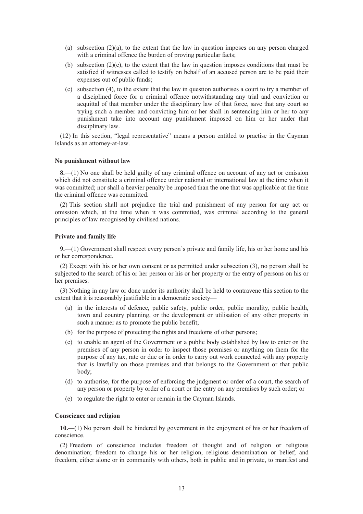- (a) subsection (2)(a), to the extent that the law in question imposes on any person charged with a criminal offence the burden of proving particular facts;
- (b) subsection  $(2)(e)$ , to the extent that the law in question imposes conditions that must be satisfied if witnesses called to testify on behalf of an accused person are to be paid their expenses out of public funds;
- (c) subsection (4), to the extent that the law in question authorises a court to try a member of a disciplined force for a criminal offence notwithstanding any trial and conviction or acquittal of that member under the disciplinary law of that force, save that any court so trying such a member and convicting him or her shall in sentencing him or her to any punishment take into account any punishment imposed on him or her under that disciplinary law.

(12) In this section, "legal representative" means a person entitled to practise in the Cayman Islands as an attorney-at-law.

#### **No punishment without law**

**8.**—(1) No one shall be held guilty of any criminal offence on account of any act or omission which did not constitute a criminal offence under national or international law at the time when it was committed; nor shall a heavier penalty be imposed than the one that was applicable at the time the criminal offence was committed.

(2) This section shall not prejudice the trial and punishment of any person for any act or omission which, at the time when it was committed, was criminal according to the general principles of law recognised by civilised nations.

#### **Private and family life**

**9.**—(1) Government shall respect every person's private and family life, his or her home and his or her correspondence.

(2) Except with his or her own consent or as permitted under subsection (3), no person shall be subjected to the search of his or her person or his or her property or the entry of persons on his or her premises.

(3) Nothing in any law or done under its authority shall be held to contravene this section to the extent that it is reasonably justifiable in a democratic society—

- (a) in the interests of defence, public safety, public order, public morality, public health, town and country planning, or the development or utilisation of any other property in such a manner as to promote the public benefit;
- (b) for the purpose of protecting the rights and freedoms of other persons;
- (c) to enable an agent of the Government or a public body established by law to enter on the premises of any person in order to inspect those premises or anything on them for the purpose of any tax, rate or due or in order to carry out work connected with any property that is lawfully on those premises and that belongs to the Government or that public body;
- (d) to authorise, for the purpose of enforcing the judgment or order of a court, the search of any person or property by order of a court or the entry on any premises by such order; or
- (e) to regulate the right to enter or remain in the Cayman Islands.

#### **Conscience and religion**

**10.**—(1) No person shall be hindered by government in the enjoyment of his or her freedom of conscience.

(2) Freedom of conscience includes freedom of thought and of religion or religious denomination; freedom to change his or her religion, religious denomination or belief; and freedom, either alone or in community with others, both in public and in private, to manifest and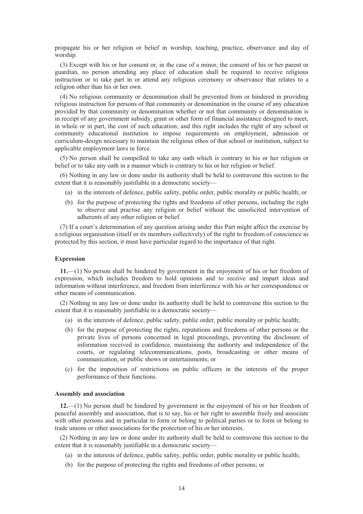propagate his or her religion or belief in worship, teaching, practice, observance and day of worship.

(3) Except with his or her consent or, in the case of a minor, the consent of his or her parent or guardian, no person attending any place of education shall be required to receive religious instruction or to take part in or attend any religious ceremony or observance that relates to a religion other than his or her own.

(4) No religious community or denomination shall be prevented from or hindered in providing religious instruction for persons of that community or denomination in the course of any education provided by that community or denomination whether or not that community or denomination is in receipt of any government subsidy, grant or other form of financial assistance designed to meet, in whole or in part, the cost of such education; and this right includes the right of any school or community educational institution to impose requirements on employment, admission or curriculum-design necessary to maintain the religious ethos of that school or institution, subject to applicable employment laws in force.

(5) No person shall be compelled to take any oath which is contrary to his or her religion or belief or to take any oath in a manner which is contrary to his or her religion or belief.

(6) Nothing in any law or done under its authority shall be held to contravene this section to the extent that it is reasonably justifiable in a democratic society—

- (a) in the interests of defence, public safety, public order, public morality or public health; or
- (b) for the purpose of protecting the rights and freedoms of other persons, including the right to observe and practise any religion or belief without the unsolicited intervention of adherents of any other religion or belief.

(7) If a court's determination of any question arising under this Part might affect the exercise by a religious organisation (itself or its members collectively) of the right to freedom of conscience as protected by this section, it must have particular regard to the importance of that right.

#### **Expression**

**11.**—(1) No person shall be hindered by government in the enjoyment of his or her freedom of expression, which includes freedom to hold opinions and to receive and impart ideas and information without interference, and freedom from interference with his or her correspondence or other means of communication.

(2) Nothing in any law or done under its authority shall be held to contravene this section to the extent that it is reasonably justifiable in a democratic society—

- (a) in the interests of defence, public safety, public order, public morality or public health;
- (b) for the purpose of protecting the rights, reputations and freedoms of other persons or the private lives of persons concerned in legal proceedings, preventing the disclosure of information received in confidence, maintaining the authority and independence of the courts, or regulating telecommunications, posts, broadcasting or other means of communication, or public shows or entertainments; or
- (c) for the imposition of restrictions on public officers in the interests of the proper performance of their functions.

#### **Assembly and association**

**12.**—(1) No person shall be hindered by government in the enjoyment of his or her freedom of peaceful assembly and association, that is to say, his or her right to assemble freely and associate with other persons and in particular to form or belong to political parties or to form or belong to trade unions or other associations for the protection of his or her interests.

(2) Nothing in any law or done under its authority shall be held to contravene this section to the extent that it is reasonably justifiable in a democratic society—

- (a) in the interests of defence, public safety, public order, public morality or public health;
- (b) for the purpose of protecting the rights and freedoms of other persons; or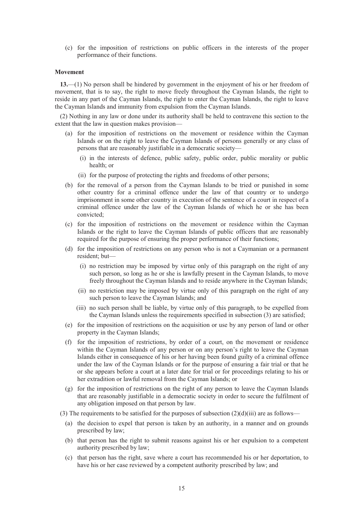(c) for the imposition of restrictions on public officers in the interests of the proper performance of their functions.

#### **Movement**

**13.**—(1) No person shall be hindered by government in the enjoyment of his or her freedom of movement, that is to say, the right to move freely throughout the Cayman Islands, the right to reside in any part of the Cayman Islands, the right to enter the Cayman Islands, the right to leave the Cayman Islands and immunity from expulsion from the Cayman Islands.

(2) Nothing in any law or done under its authority shall be held to contravene this section to the extent that the law in question makes provision—

- (a) for the imposition of restrictions on the movement or residence within the Cayman Islands or on the right to leave the Cayman Islands of persons generally or any class of persons that are reasonably justifiable in a democratic society—
	- (i) in the interests of defence, public safety, public order, public morality or public health; or
	- (ii) for the purpose of protecting the rights and freedoms of other persons;
- (b) for the removal of a person from the Cayman Islands to be tried or punished in some other country for a criminal offence under the law of that country or to undergo imprisonment in some other country in execution of the sentence of a court in respect of a criminal offence under the law of the Cayman Islands of which he or she has been convicted;
- (c) for the imposition of restrictions on the movement or residence within the Cayman Islands or the right to leave the Cayman Islands of public officers that are reasonably required for the purpose of ensuring the proper performance of their functions;
- (d) for the imposition of restrictions on any person who is not a Caymanian or a permanent resident; but—
	- (i) no restriction may be imposed by virtue only of this paragraph on the right of any such person, so long as he or she is lawfully present in the Cayman Islands, to move freely throughout the Cayman Islands and to reside anywhere in the Cayman Islands;
	- (ii) no restriction may be imposed by virtue only of this paragraph on the right of any such person to leave the Cayman Islands; and
	- (iii) no such person shall be liable, by virtue only of this paragraph, to be expelled from the Cayman Islands unless the requirements specified in subsection (3) are satisfied;
- (e) for the imposition of restrictions on the acquisition or use by any person of land or other property in the Cayman Islands;
- (f) for the imposition of restrictions, by order of a court, on the movement or residence within the Cayman Islands of any person or on any person's right to leave the Cayman Islands either in consequence of his or her having been found guilty of a criminal offence under the law of the Cayman Islands or for the purpose of ensuring a fair trial or that he or she appears before a court at a later date for trial or for proceedings relating to his or her extradition or lawful removal from the Cayman Islands; or
- (g) for the imposition of restrictions on the right of any person to leave the Cayman Islands that are reasonably justifiable in a democratic society in order to secure the fulfilment of any obligation imposed on that person by law.
- (3) The requirements to be satisfied for the purposes of subsection  $(2)(d)(iii)$  are as follows—
	- (a) the decision to expel that person is taken by an authority, in a manner and on grounds prescribed by law;
	- (b) that person has the right to submit reasons against his or her expulsion to a competent authority prescribed by law;
	- (c) that person has the right, save where a court has recommended his or her deportation, to have his or her case reviewed by a competent authority prescribed by law; and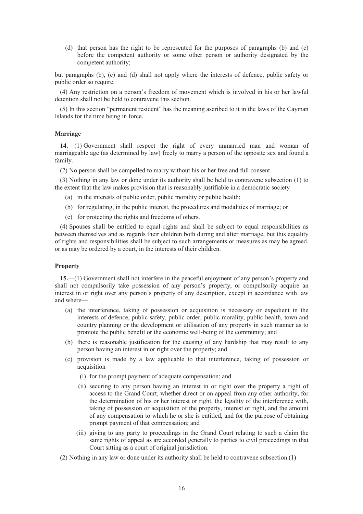(d) that person has the right to be represented for the purposes of paragraphs (b) and (c) before the competent authority or some other person or authority designated by the competent authority;

but paragraphs (b), (c) and (d) shall not apply where the interests of defence, public safety or public order so require.

(4) Any restriction on a person's freedom of movement which is involved in his or her lawful detention shall not be held to contravene this section.

(5) In this section "permanent resident" has the meaning ascribed to it in the laws of the Cayman Islands for the time being in force.

#### **Marriage**

**14.**—(1) Government shall respect the right of every unmarried man and woman of marriageable age (as determined by law) freely to marry a person of the opposite sex and found a family.

(2) No person shall be compelled to marry without his or her free and full consent.

(3) Nothing in any law or done under its authority shall be held to contravene subsection (1) to the extent that the law makes provision that is reasonably justifiable in a democratic society—

- (a) in the interests of public order, public morality or public health;
- (b) for regulating, in the public interest, the procedures and modalities of marriage; or
- (c) for protecting the rights and freedoms of others.

(4) Spouses shall be entitled to equal rights and shall be subject to equal responsibilities as between themselves and as regards their children both during and after marriage, but this equality of rights and responsibilities shall be subject to such arrangements or measures as may be agreed, or as may be ordered by a court, in the interests of their children.

#### **Property**

**15.**—(1) Government shall not interfere in the peaceful enjoyment of any person's property and shall not compulsorily take possession of any person's property, or compulsorily acquire an interest in or right over any person's property of any description, except in accordance with law and where—

- (a) the interference, taking of possession or acquisition is necessary or expedient in the interests of defence, public safety, public order, public morality, public health, town and country planning or the development or utilisation of any property in such manner as to promote the public benefit or the economic well-being of the community; and
- (b) there is reasonable justification for the causing of any hardship that may result to any person having an interest in or right over the property; and
- (c) provision is made by a law applicable to that interference, taking of possession or acquisition—
	- (i) for the prompt payment of adequate compensation; and
	- (ii) securing to any person having an interest in or right over the property a right of access to the Grand Court, whether direct or on appeal from any other authority, for the determination of his or her interest or right, the legality of the interference with, taking of possession or acquisition of the property, interest or right, and the amount of any compensation to which he or she is entitled, and for the purpose of obtaining prompt payment of that compensation; and
	- (iii) giving to any party to proceedings in the Grand Court relating to such a claim the same rights of appeal as are accorded generally to parties to civil proceedings in that Court sitting as a court of original jurisdiction.
- (2) Nothing in any law or done under its authority shall be held to contravene subsection  $(1)$ —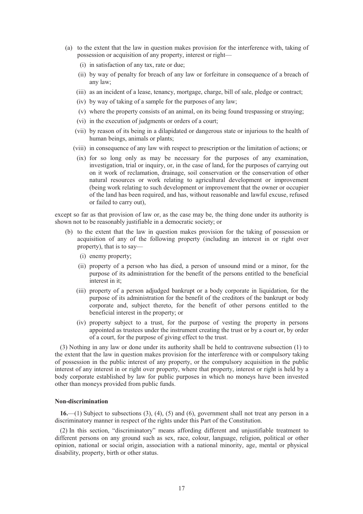- (a) to the extent that the law in question makes provision for the interference with, taking of possession or acquisition of any property, interest or right—
	- (i) in satisfaction of any tax, rate or due;
	- (ii) by way of penalty for breach of any law or forfeiture in consequence of a breach of any law;
	- (iii) as an incident of a lease, tenancy, mortgage, charge, bill of sale, pledge or contract;
	- (iv) by way of taking of a sample for the purposes of any law;
	- (v) where the property consists of an animal, on its being found trespassing or straying;
	- (vi) in the execution of judgments or orders of a court;
	- (vii) by reason of its being in a dilapidated or dangerous state or injurious to the health of human beings, animals or plants;
	- (viii) in consequence of any law with respect to prescription or the limitation of actions; or
		- (ix) for so long only as may be necessary for the purposes of any examination, investigation, trial or inquiry, or, in the case of land, for the purposes of carrying out on it work of reclamation, drainage, soil conservation or the conservation of other natural resources or work relating to agricultural development or improvement (being work relating to such development or improvement that the owner or occupier of the land has been required, and has, without reasonable and lawful excuse, refused or failed to carry out),

except so far as that provision of law or, as the case may be, the thing done under its authority is shown not to be reasonably justifiable in a democratic society; or

- (b) to the extent that the law in question makes provision for the taking of possession or acquisition of any of the following property (including an interest in or right over property), that is to say—
	- (i) enemy property;
	- (ii) property of a person who has died, a person of unsound mind or a minor, for the purpose of its administration for the benefit of the persons entitled to the beneficial interest in it;
	- (iii) property of a person adjudged bankrupt or a body corporate in liquidation, for the purpose of its administration for the benefit of the creditors of the bankrupt or body corporate and, subject thereto, for the benefit of other persons entitled to the beneficial interest in the property; or
	- (iv) property subject to a trust, for the purpose of vesting the property in persons appointed as trustees under the instrument creating the trust or by a court or, by order of a court, for the purpose of giving effect to the trust.

(3) Nothing in any law or done under its authority shall be held to contravene subsection (1) to the extent that the law in question makes provision for the interference with or compulsory taking of possession in the public interest of any property, or the compulsory acquisition in the public interest of any interest in or right over property, where that property, interest or right is held by a body corporate established by law for public purposes in which no moneys have been invested other than moneys provided from public funds.

#### **Non-discrimination**

**16.**—(1) Subject to subsections (3), (4), (5) and (6), government shall not treat any person in a discriminatory manner in respect of the rights under this Part of the Constitution.

(2) In this section, "discriminatory" means affording different and unjustifiable treatment to different persons on any ground such as sex, race, colour, language, religion, political or other opinion, national or social origin, association with a national minority, age, mental or physical disability, property, birth or other status.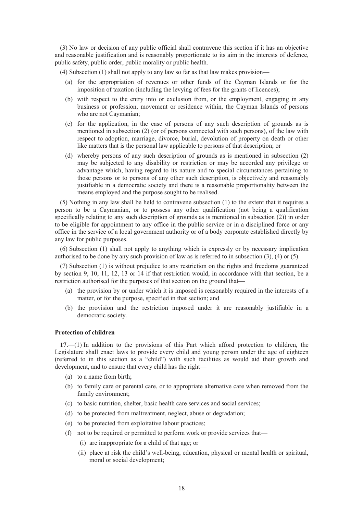(3) No law or decision of any public official shall contravene this section if it has an objective and reasonable justification and is reasonably proportionate to its aim in the interests of defence, public safety, public order, public morality or public health.

(4) Subsection (1) shall not apply to any law so far as that law makes provision—

- (a) for the appropriation of revenues or other funds of the Cayman Islands or for the imposition of taxation (including the levying of fees for the grants of licences);
- (b) with respect to the entry into or exclusion from, or the employment, engaging in any business or profession, movement or residence within, the Cayman Islands of persons who are not Caymanian;
- (c) for the application, in the case of persons of any such description of grounds as is mentioned in subsection (2) (or of persons connected with such persons), of the law with respect to adoption, marriage, divorce, burial, devolution of property on death or other like matters that is the personal law applicable to persons of that description; or
- (d) whereby persons of any such description of grounds as is mentioned in subsection (2) may be subjected to any disability or restriction or may be accorded any privilege or advantage which, having regard to its nature and to special circumstances pertaining to those persons or to persons of any other such description, is objectively and reasonably justifiable in a democratic society and there is a reasonable proportionality between the means employed and the purpose sought to be realised.

(5) Nothing in any law shall be held to contravene subsection (1) to the extent that it requires a person to be a Caymanian, or to possess any other qualification (not being a qualification specifically relating to any such description of grounds as is mentioned in subsection (2)) in order to be eligible for appointment to any office in the public service or in a disciplined force or any office in the service of a local government authority or of a body corporate established directly by any law for public purposes.

(6) Subsection (1) shall not apply to anything which is expressly or by necessary implication authorised to be done by any such provision of law as is referred to in subsection (3), (4) or (5).

(7) Subsection (1) is without prejudice to any restriction on the rights and freedoms guaranteed by section 9, 10, 11, 12, 13 or 14 if that restriction would, in accordance with that section, be a restriction authorised for the purposes of that section on the ground that—

- (a) the provision by or under which it is imposed is reasonably required in the interests of a matter, or for the purpose, specified in that section; and
- (b) the provision and the restriction imposed under it are reasonably justifiable in a democratic society.

#### **Protection of children**

**17.**—(1) In addition to the provisions of this Part which afford protection to children, the Legislature shall enact laws to provide every child and young person under the age of eighteen (referred to in this section as a "child") with such facilities as would aid their growth and development, and to ensure that every child has the right—

- (a) to a name from birth;
- (b) to family care or parental care, or to appropriate alternative care when removed from the family environment;
- (c) to basic nutrition, shelter, basic health care services and social services;
- (d) to be protected from maltreatment, neglect, abuse or degradation;
- (e) to be protected from exploitative labour practices;
- (f) not to be required or permitted to perform work or provide services that—
	- (i) are inappropriate for a child of that age; or
	- (ii) place at risk the child's well-being, education, physical or mental health or spiritual, moral or social development;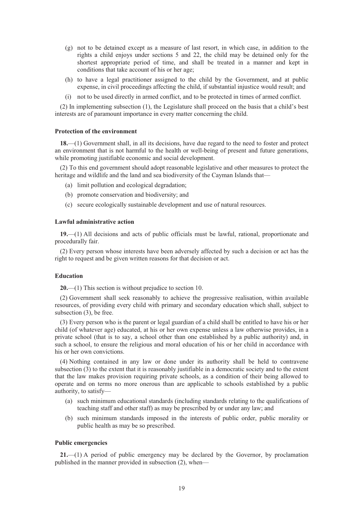- (g) not to be detained except as a measure of last resort, in which case, in addition to the rights a child enjoys under sections 5 and 22, the child may be detained only for the shortest appropriate period of time, and shall be treated in a manner and kept in conditions that take account of his or her age;
- (h) to have a legal practitioner assigned to the child by the Government, and at public expense, in civil proceedings affecting the child, if substantial injustice would result; and
- (i) not to be used directly in armed conflict, and to be protected in times of armed conflict.

(2) In implementing subsection (1), the Legislature shall proceed on the basis that a child's best interests are of paramount importance in every matter concerning the child.

#### **Protection of the environment**

**18.**—(1) Government shall, in all its decisions, have due regard to the need to foster and protect an environment that is not harmful to the health or well-being of present and future generations, while promoting justifiable economic and social development.

(2) To this end government should adopt reasonable legislative and other measures to protect the heritage and wildlife and the land and sea biodiversity of the Cayman Islands that—

- (a) limit pollution and ecological degradation;
- (b) promote conservation and biodiversity; and
- (c) secure ecologically sustainable development and use of natural resources.

#### **Lawful administrative action**

**19.**—(1) All decisions and acts of public officials must be lawful, rational, proportionate and procedurally fair.

(2) Every person whose interests have been adversely affected by such a decision or act has the right to request and be given written reasons for that decision or act.

#### **Education**

**20.**—(1) This section is without prejudice to section 10.

(2) Government shall seek reasonably to achieve the progressive realisation, within available resources, of providing every child with primary and secondary education which shall, subject to subsection (3), be free.

(3) Every person who is the parent or legal guardian of a child shall be entitled to have his or her child (of whatever age) educated, at his or her own expense unless a law otherwise provides, in a private school (that is to say, a school other than one established by a public authority) and, in such a school, to ensure the religious and moral education of his or her child in accordance with his or her own convictions.

(4) Nothing contained in any law or done under its authority shall be held to contravene subsection (3) to the extent that it is reasonably justifiable in a democratic society and to the extent that the law makes provision requiring private schools, as a condition of their being allowed to operate and on terms no more onerous than are applicable to schools established by a public authority, to satisfy—

- (a) such minimum educational standards (including standards relating to the qualifications of teaching staff and other staff) as may be prescribed by or under any law; and
- (b) such minimum standards imposed in the interests of public order, public morality or public health as may be so prescribed.

#### **Public emergencies**

**21.**—(1) A period of public emergency may be declared by the Governor, by proclamation published in the manner provided in subsection (2), when—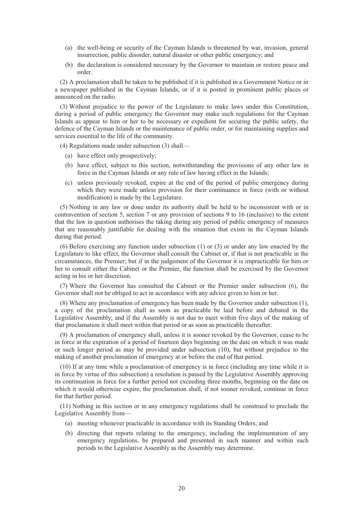- (a) the well-being or security of the Cayman Islands is threatened by war, invasion, general insurrection, public disorder, natural disaster or other public emergency; and
- (b) the declaration is considered necessary by the Governor to maintain or restore peace and order.

(2) A proclamation shall be taken to be published if it is published in a Government Notice or in a newspaper published in the Cayman Islands, or if it is posted in prominent public places or announced on the radio.

(3) Without prejudice to the power of the Legislature to make laws under this Constitution, during a period of public emergency the Governor may make such regulations for the Cayman Islands as appear to him or her to be necessary or expedient for securing the public safety, the defence of the Cayman Islands or the maintenance of public order, or for maintaining supplies and services essential to the life of the community.

(4) Regulations made under subsection (3) shall—

- (a) have effect only prospectively;
- (b) have effect, subject to this section, notwithstanding the provisions of any other law in force in the Cayman Islands or any rule of law having effect in the Islands;
- (c) unless previously revoked, expire at the end of the period of public emergency during which they were made unless provision for their continuance in force (with or without modification) is made by the Legislature.

(5) Nothing in any law or done under its authority shall be held to be inconsistent with or in contravention of section 5, section 7 or any provision of sections 9 to 16 (inclusive) to the extent that the law in question authorises the taking during any period of public emergency of measures that are reasonably justifiable for dealing with the situation that exists in the Cayman Islands during that period.

(6) Before exercising any function under subsection (1) or (3) or under any law enacted by the Legislature to like effect, the Governor shall consult the Cabinet or, if that is not practicable in the circumstances, the Premier; but if in the judgement of the Governor it is impracticable for him or her to consult either the Cabinet or the Premier, the function shall be exercised by the Governor acting in his or her discretion.

(7) Where the Governor has consulted the Cabinet or the Premier under subsection (6), the Governor shall not be obliged to act in accordance with any advice given to him or her.

(8) Where any proclamation of emergency has been made by the Governor under subsection (1), a copy of the proclamation shall as soon as practicable be laid before and debated in the Legislative Assembly; and if the Assembly is not due to meet within five days of the making of that proclamation it shall meet within that period or as soon as practicable thereafter.

(9) A proclamation of emergency shall, unless it is sooner revoked by the Governor, cease to be in force at the expiration of a period of fourteen days beginning on the date on which it was made or such longer period as may be provided under subsection (10), but without prejudice to the making of another proclamation of emergency at or before the end of that period.

(10) If at any time while a proclamation of emergency is in force (including any time while it is in force by virtue of this subsection) a resolution is passed by the Legislative Assembly approving its continuation in force for a further period not exceeding three months, beginning on the date on which it would otherwise expire, the proclamation shall, if not sooner revoked, continue in force for that further period.

(11) Nothing in this section or in any emergency regulations shall be construed to preclude the Legislative Assembly from—

- (a) meeting whenever practicable in accordance with its Standing Orders; and
- (b) directing that reports relating to the emergency, including the implementation of any emergency regulations, be prepared and presented in such manner and within such periods to the Legislative Assembly as the Assembly may determine.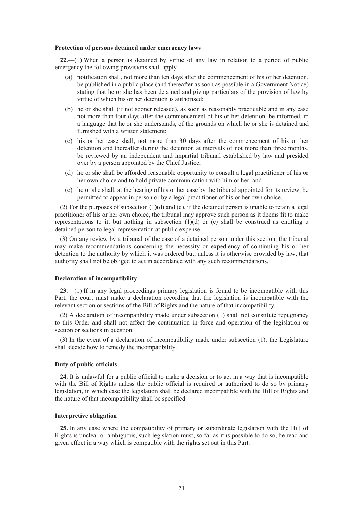#### **Protection of persons detained under emergency laws**

**22.**—(1) When a person is detained by virtue of any law in relation to a period of public emergency the following provisions shall apply—

- (a) notification shall, not more than ten days after the commencement of his or her detention, be published in a public place (and thereafter as soon as possible in a Government Notice) stating that he or she has been detained and giving particulars of the provision of law by virtue of which his or her detention is authorised;
- (b) he or she shall (if not sooner released), as soon as reasonably practicable and in any case not more than four days after the commencement of his or her detention, be informed, in a language that he or she understands, of the grounds on which he or she is detained and furnished with a written statement:
- (c) his or her case shall, not more than 30 days after the commencement of his or her detention and thereafter during the detention at intervals of not more than three months, be reviewed by an independent and impartial tribunal established by law and presided over by a person appointed by the Chief Justice;
- (d) he or she shall be afforded reasonable opportunity to consult a legal practitioner of his or her own choice and to hold private communication with him or her; and
- (e) he or she shall, at the hearing of his or her case by the tribunal appointed for its review, be permitted to appear in person or by a legal practitioner of his or her own choice.

(2) For the purposes of subsection (1)(d) and (e), if the detained person is unable to retain a legal practitioner of his or her own choice, the tribunal may approve such person as it deems fit to make representations to it; but nothing in subsection  $(1)(d)$  or  $(e)$  shall be construed as entitling a detained person to legal representation at public expense.

(3) On any review by a tribunal of the case of a detained person under this section, the tribunal may make recommendations concerning the necessity or expediency of continuing his or her detention to the authority by which it was ordered but, unless it is otherwise provided by law, that authority shall not be obliged to act in accordance with any such recommendations.

#### **Declaration of incompatibility**

**23.**—(1) If in any legal proceedings primary legislation is found to be incompatible with this Part, the court must make a declaration recording that the legislation is incompatible with the relevant section or sections of the Bill of Rights and the nature of that incompatibility.

(2) A declaration of incompatibility made under subsection (1) shall not constitute repugnancy to this Order and shall not affect the continuation in force and operation of the legislation or section or sections in question.

(3) In the event of a declaration of incompatibility made under subsection (1), the Legislature shall decide how to remedy the incompatibility.

#### **Duty of public officials**

**24.** It is unlawful for a public official to make a decision or to act in a way that is incompatible with the Bill of Rights unless the public official is required or authorised to do so by primary legislation, in which case the legislation shall be declared incompatible with the Bill of Rights and the nature of that incompatibility shall be specified.

#### **Interpretive obligation**

**25.** In any case where the compatibility of primary or subordinate legislation with the Bill of Rights is unclear or ambiguous, such legislation must, so far as it is possible to do so, be read and given effect in a way which is compatible with the rights set out in this Part.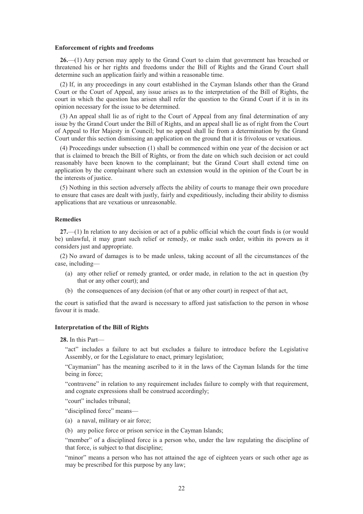#### **Enforcement of rights and freedoms**

**26.**—(1) Any person may apply to the Grand Court to claim that government has breached or threatened his or her rights and freedoms under the Bill of Rights and the Grand Court shall determine such an application fairly and within a reasonable time.

(2) If, in any proceedings in any court established in the Cayman Islands other than the Grand Court or the Court of Appeal, any issue arises as to the interpretation of the Bill of Rights, the court in which the question has arisen shall refer the question to the Grand Court if it is in its opinion necessary for the issue to be determined.

(3) An appeal shall lie as of right to the Court of Appeal from any final determination of any issue by the Grand Court under the Bill of Rights, and an appeal shall lie as of right from the Court of Appeal to Her Majesty in Council; but no appeal shall lie from a determination by the Grand Court under this section dismissing an application on the ground that it is frivolous or vexatious.

(4) Proceedings under subsection (1) shall be commenced within one year of the decision or act that is claimed to breach the Bill of Rights, or from the date on which such decision or act could reasonably have been known to the complainant; but the Grand Court shall extend time on application by the complainant where such an extension would in the opinion of the Court be in the interests of justice.

(5) Nothing in this section adversely affects the ability of courts to manage their own procedure to ensure that cases are dealt with justly, fairly and expeditiously, including their ability to dismiss applications that are vexatious or unreasonable.

#### **Remedies**

**27.**—(1) In relation to any decision or act of a public official which the court finds is (or would be) unlawful, it may grant such relief or remedy, or make such order, within its powers as it considers just and appropriate.

(2) No award of damages is to be made unless, taking account of all the circumstances of the case, including—

- (a) any other relief or remedy granted, or order made, in relation to the act in question (by that or any other court); and
- (b) the consequences of any decision (of that or any other court) in respect of that act,

the court is satisfied that the award is necessary to afford just satisfaction to the person in whose favour it is made.

#### **Interpretation of the Bill of Rights**

**28.** In this Part—

"act" includes a failure to act but excludes a failure to introduce before the Legislative Assembly, or for the Legislature to enact, primary legislation;

"Caymanian" has the meaning ascribed to it in the laws of the Cayman Islands for the time being in force;

"contravene" in relation to any requirement includes failure to comply with that requirement, and cognate expressions shall be construed accordingly;

"court" includes tribunal;

"disciplined force" means—

(a) a naval, military or air force;

(b) any police force or prison service in the Cayman Islands;

"member" of a disciplined force is a person who, under the law regulating the discipline of that force, is subject to that discipline;

"minor" means a person who has not attained the age of eighteen years or such other age as may be prescribed for this purpose by any law;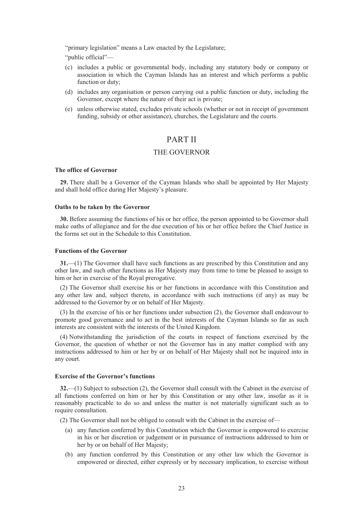"primary legislation" means a Law enacted by the Legislature;

"public official"—

- (c) includes a public or governmental body, including any statutory body or company or association in which the Cayman Islands has an interest and which performs a public function or duty;
- (d) includes any organisation or person carrying out a public function or duty, including the Governor, except where the nature of their act is private;
- (e) unless otherwise stated, excludes private schools (whether or not in receipt of government funding, subsidy or other assistance), churches, the Legislature and the courts.

## PART II

## THE GOVERNOR

#### **The office of Governor**

**29.** There shall be a Governor of the Cayman Islands who shall be appointed by Her Majesty and shall hold office during Her Majesty's pleasure.

#### **Oaths to be taken by the Governor**

**30.** Before assuming the functions of his or her office, the person appointed to be Governor shall make oaths of allegiance and for the due execution of his or her office before the Chief Justice in the forms set out in the Schedule to this Constitution.

#### **Functions of the Governor**

**31.**—(1) The Governor shall have such functions as are prescribed by this Constitution and any other law, and such other functions as Her Majesty may from time to time be pleased to assign to him or her in exercise of the Royal prerogative.

(2) The Governor shall exercise his or her functions in accordance with this Constitution and any other law and, subject thereto, in accordance with such instructions (if any) as may be addressed to the Governor by or on behalf of Her Majesty.

(3) In the exercise of his or her functions under subsection (2), the Governor shall endeavour to promote good governance and to act in the best interests of the Cayman Islands so far as such interests are consistent with the interests of the United Kingdom.

(4) Notwithstanding the jurisdiction of the courts in respect of functions exercised by the Governor, the question of whether or not the Governor has in any matter complied with any instructions addressed to him or her by or on behalf of Her Majesty shall not be inquired into in any court.

#### **Exercise of the Governor's functions**

**32.**—(1) Subject to subsection (2), the Governor shall consult with the Cabinet in the exercise of all functions conferred on him or her by this Constitution or any other law, insofar as it is reasonably practicable to do so and unless the matter is not materially significant such as to require consultation.

(2) The Governor shall not be obliged to consult with the Cabinet in the exercise of—

- (a) any function conferred by this Constitution which the Governor is empowered to exercise in his or her discretion or judgement or in pursuance of instructions addressed to him or her by or on behalf of Her Majesty;
- (b) any function conferred by this Constitution or any other law which the Governor is empowered or directed, either expressly or by necessary implication, to exercise without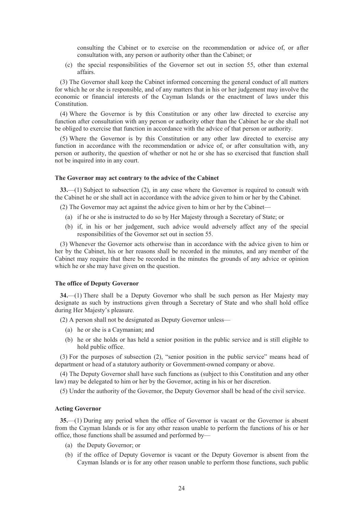consulting the Cabinet or to exercise on the recommendation or advice of, or after consultation with, any person or authority other than the Cabinet; or

(c) the special responsibilities of the Governor set out in section 55, other than external affairs.

(3) The Governor shall keep the Cabinet informed concerning the general conduct of all matters for which he or she is responsible, and of any matters that in his or her judgement may involve the economic or financial interests of the Cayman Islands or the enactment of laws under this Constitution.

(4) Where the Governor is by this Constitution or any other law directed to exercise any function after consultation with any person or authority other than the Cabinet he or she shall not be obliged to exercise that function in accordance with the advice of that person or authority.

(5) Where the Governor is by this Constitution or any other law directed to exercise any function in accordance with the recommendation or advice of, or after consultation with, any person or authority, the question of whether or not he or she has so exercised that function shall not be inquired into in any court.

#### **The Governor may act contrary to the advice of the Cabinet**

**33.**—(1) Subject to subsection (2), in any case where the Governor is required to consult with the Cabinet he or she shall act in accordance with the advice given to him or her by the Cabinet.

(2) The Governor may act against the advice given to him or her by the Cabinet—

- (a) if he or she is instructed to do so by Her Majesty through a Secretary of State; or
- (b) if, in his or her judgement, such advice would adversely affect any of the special responsibilities of the Governor set out in section 55.

(3) Whenever the Governor acts otherwise than in accordance with the advice given to him or her by the Cabinet, his or her reasons shall be recorded in the minutes, and any member of the Cabinet may require that there be recorded in the minutes the grounds of any advice or opinion which he or she may have given on the question.

#### **The office of Deputy Governor**

**34.**—(1) There shall be a Deputy Governor who shall be such person as Her Majesty may designate as such by instructions given through a Secretary of State and who shall hold office during Her Majesty's pleasure.

(2) A person shall not be designated as Deputy Governor unless—

- (a) he or she is a Caymanian; and
- (b) he or she holds or has held a senior position in the public service and is still eligible to hold public office.

(3) For the purposes of subsection (2), "senior position in the public service" means head of department or head of a statutory authority or Government-owned company or above.

(4) The Deputy Governor shall have such functions as (subject to this Constitution and any other law) may be delegated to him or her by the Governor, acting in his or her discretion.

(5) Under the authority of the Governor, the Deputy Governor shall be head of the civil service.

#### **Acting Governor**

**35.**—(1) During any period when the office of Governor is vacant or the Governor is absent from the Cayman Islands or is for any other reason unable to perform the functions of his or her office, those functions shall be assumed and performed by—

- (a) the Deputy Governor; or
- (b) if the office of Deputy Governor is vacant or the Deputy Governor is absent from the Cayman Islands or is for any other reason unable to perform those functions, such public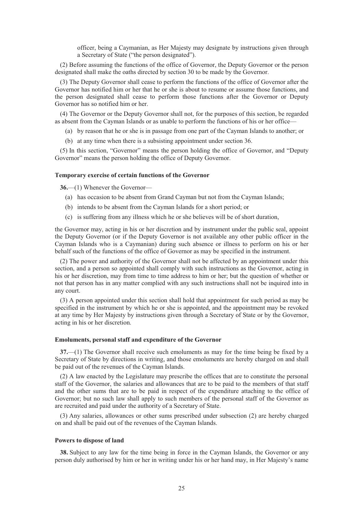officer, being a Caymanian, as Her Majesty may designate by instructions given through a Secretary of State ("the person designated").

(2) Before assuming the functions of the office of Governor, the Deputy Governor or the person designated shall make the oaths directed by section 30 to be made by the Governor.

(3) The Deputy Governor shall cease to perform the functions of the office of Governor after the Governor has notified him or her that he or she is about to resume or assume those functions, and the person designated shall cease to perform those functions after the Governor or Deputy Governor has so notified him or her.

(4) The Governor or the Deputy Governor shall not, for the purposes of this section, be regarded as absent from the Cayman Islands or as unable to perform the functions of his or her office—

- (a) by reason that he or she is in passage from one part of the Cayman Islands to another; or
- (b) at any time when there is a subsisting appointment under section 36.

(5) In this section, "Governor" means the person holding the office of Governor, and "Deputy Governor" means the person holding the office of Deputy Governor.

#### **Temporary exercise of certain functions of the Governor**

**36.**—(1) Whenever the Governor—

- (a) has occasion to be absent from Grand Cayman but not from the Cayman Islands;
- (b) intends to be absent from the Cayman Islands for a short period; or
- (c) is suffering from any illness which he or she believes will be of short duration,

the Governor may, acting in his or her discretion and by instrument under the public seal, appoint the Deputy Governor (or if the Deputy Governor is not available any other public officer in the Cayman Islands who is a Caymanian) during such absence or illness to perform on his or her behalf such of the functions of the office of Governor as may be specified in the instrument.

(2) The power and authority of the Governor shall not be affected by an appointment under this section, and a person so appointed shall comply with such instructions as the Governor, acting in his or her discretion, may from time to time address to him or her; but the question of whether or not that person has in any matter complied with any such instructions shall not be inquired into in any court.

(3) A person appointed under this section shall hold that appointment for such period as may be specified in the instrument by which he or she is appointed, and the appointment may be revoked at any time by Her Majesty by instructions given through a Secretary of State or by the Governor, acting in his or her discretion.

#### **Emoluments, personal staff and expenditure of the Governor**

**37.**—(1) The Governor shall receive such emoluments as may for the time being be fixed by a Secretary of State by directions in writing, and those emoluments are hereby charged on and shall be paid out of the revenues of the Cayman Islands.

(2) A law enacted by the Legislature may prescribe the offices that are to constitute the personal staff of the Governor, the salaries and allowances that are to be paid to the members of that staff and the other sums that are to be paid in respect of the expenditure attaching to the office of Governor; but no such law shall apply to such members of the personal staff of the Governor as are recruited and paid under the authority of a Secretary of State.

(3) Any salaries, allowances or other sums prescribed under subsection (2) are hereby charged on and shall be paid out of the revenues of the Cayman Islands.

#### **Powers to dispose of land**

**38.** Subject to any law for the time being in force in the Cayman Islands, the Governor or any person duly authorised by him or her in writing under his or her hand may, in Her Majesty's name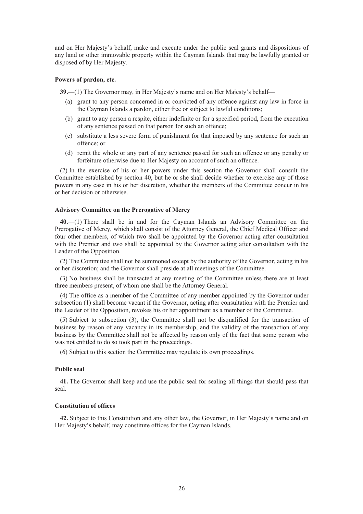and on Her Majesty's behalf, make and execute under the public seal grants and dispositions of any land or other immovable property within the Cayman Islands that may be lawfully granted or disposed of by Her Majesty.

#### **Powers of pardon, etc.**

**39.**—(1) The Governor may, in Her Majesty's name and on Her Majesty's behalf—

- (a) grant to any person concerned in or convicted of any offence against any law in force in the Cayman Islands a pardon, either free or subject to lawful conditions;
- (b) grant to any person a respite, either indefinite or for a specified period, from the execution of any sentence passed on that person for such an offence;
- (c) substitute a less severe form of punishment for that imposed by any sentence for such an offence; or
- (d) remit the whole or any part of any sentence passed for such an offence or any penalty or forfeiture otherwise due to Her Majesty on account of such an offence.

(2) In the exercise of his or her powers under this section the Governor shall consult the Committee established by section 40, but he or she shall decide whether to exercise any of those powers in any case in his or her discretion, whether the members of the Committee concur in his or her decision or otherwise.

#### **Advisory Committee on the Prerogative of Mercy**

**40.**—(1) There shall be in and for the Cayman Islands an Advisory Committee on the Prerogative of Mercy, which shall consist of the Attorney General, the Chief Medical Officer and four other members, of which two shall be appointed by the Governor acting after consultation with the Premier and two shall be appointed by the Governor acting after consultation with the Leader of the Opposition.

(2) The Committee shall not be summoned except by the authority of the Governor, acting in his or her discretion; and the Governor shall preside at all meetings of the Committee.

(3) No business shall be transacted at any meeting of the Committee unless there are at least three members present, of whom one shall be the Attorney General.

(4) The office as a member of the Committee of any member appointed by the Governor under subsection (1) shall become vacant if the Governor, acting after consultation with the Premier and the Leader of the Opposition, revokes his or her appointment as a member of the Committee.

(5) Subject to subsection (3), the Committee shall not be disqualified for the transaction of business by reason of any vacancy in its membership, and the validity of the transaction of any business by the Committee shall not be affected by reason only of the fact that some person who was not entitled to do so took part in the proceedings.

(6) Subject to this section the Committee may regulate its own proceedings.

#### **Public seal**

**41.** The Governor shall keep and use the public seal for sealing all things that should pass that seal.

#### **Constitution of offices**

**42.** Subject to this Constitution and any other law, the Governor, in Her Majesty's name and on Her Majesty's behalf, may constitute offices for the Cayman Islands.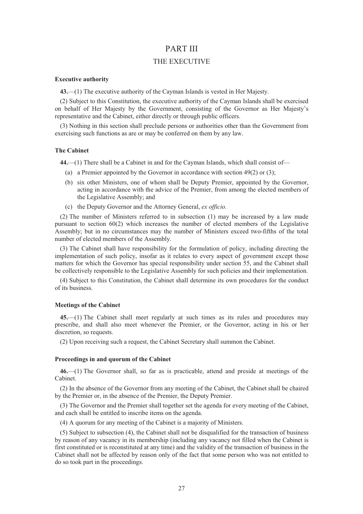## PART III

## THE EXECUTIVE

#### **Executive authority**

**43.**—(1) The executive authority of the Cayman Islands is vested in Her Majesty.

(2) Subject to this Constitution, the executive authority of the Cayman Islands shall be exercised on behalf of Her Majesty by the Government, consisting of the Governor as Her Majesty's representative and the Cabinet, either directly or through public officers.

(3) Nothing in this section shall preclude persons or authorities other than the Government from exercising such functions as are or may be conferred on them by any law.

#### **The Cabinet**

**44.**—(1) There shall be a Cabinet in and for the Cayman Islands, which shall consist of—

- (a) a Premier appointed by the Governor in accordance with section 49(2) or (3);
- (b) six other Ministers, one of whom shall be Deputy Premier, appointed by the Governor, acting in accordance with the advice of the Premier, from among the elected members of the Legislative Assembly; and
- (c) the Deputy Governor and the Attorney General, *ex officio.*

(2) The number of Ministers referred to in subsection (1) may be increased by a law made pursuant to section 60(2) which increases the number of elected members of the Legislative Assembly; but in no circumstances may the number of Ministers exceed two-fifths of the total number of elected members of the Assembly.

(3) The Cabinet shall have responsibility for the formulation of policy, including directing the implementation of such policy, insofar as it relates to every aspect of government except those matters for which the Governor has special responsibility under section 55, and the Cabinet shall be collectively responsible to the Legislative Assembly for such policies and their implementation.

(4) Subject to this Constitution, the Cabinet shall determine its own procedures for the conduct of its business.

#### **Meetings of the Cabinet**

**45.**—(1) The Cabinet shall meet regularly at such times as its rules and procedures may prescribe, and shall also meet whenever the Premier, or the Governor, acting in his or her discretion, so requests.

(2) Upon receiving such a request, the Cabinet Secretary shall summon the Cabinet.

#### **Proceedings in and quorum of the Cabinet**

**46.**—(1) The Governor shall, so far as is practicable, attend and preside at meetings of the Cabinet.

(2) In the absence of the Governor from any meeting of the Cabinet, the Cabinet shall be chaired by the Premier or, in the absence of the Premier, the Deputy Premier.

(3) The Governor and the Premier shall together set the agenda for every meeting of the Cabinet, and each shall be entitled to inscribe items on the agenda.

(4) A quorum for any meeting of the Cabinet is a majority of Ministers.

(5) Subject to subsection (4), the Cabinet shall not be disqualified for the transaction of business by reason of any vacancy in its membership (including any vacancy not filled when the Cabinet is first constituted or is reconstituted at any time) and the validity of the transaction of business in the Cabinet shall not be affected by reason only of the fact that some person who was not entitled to do so took part in the proceedings.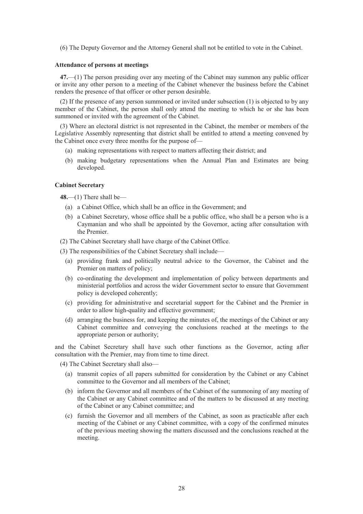(6) The Deputy Governor and the Attorney General shall not be entitled to vote in the Cabinet.

#### **Attendance of persons at meetings**

**47.**—(1) The person presiding over any meeting of the Cabinet may summon any public officer or invite any other person to a meeting of the Cabinet whenever the business before the Cabinet renders the presence of that officer or other person desirable.

(2) If the presence of any person summoned or invited under subsection (1) is objected to by any member of the Cabinet, the person shall only attend the meeting to which he or she has been summoned or invited with the agreement of the Cabinet.

(3) Where an electoral district is not represented in the Cabinet, the member or members of the Legislative Assembly representing that district shall be entitled to attend a meeting convened by the Cabinet once every three months for the purpose of—

- (a) making representations with respect to matters affecting their district; and
- (b) making budgetary representations when the Annual Plan and Estimates are being developed.

#### **Cabinet Secretary**

**48.**—(1) There shall be—

- (a) a Cabinet Office, which shall be an office in the Government; and
- (b) a Cabinet Secretary, whose office shall be a public office, who shall be a person who is a Caymanian and who shall be appointed by the Governor, acting after consultation with the Premier.
- (2) The Cabinet Secretary shall have charge of the Cabinet Office.
- (3) The responsibilities of the Cabinet Secretary shall include—
	- (a) providing frank and politically neutral advice to the Governor, the Cabinet and the Premier on matters of policy;
	- (b) co-ordinating the development and implementation of policy between departments and ministerial portfolios and across the wider Government sector to ensure that Government policy is developed coherently;
	- (c) providing for administrative and secretarial support for the Cabinet and the Premier in order to allow high-quality and effective government;
	- (d) arranging the business for, and keeping the minutes of, the meetings of the Cabinet or any Cabinet committee and conveying the conclusions reached at the meetings to the appropriate person or authority;

and the Cabinet Secretary shall have such other functions as the Governor, acting after consultation with the Premier, may from time to time direct.

(4) The Cabinet Secretary shall also—

- (a) transmit copies of all papers submitted for consideration by the Cabinet or any Cabinet committee to the Governor and all members of the Cabinet;
- (b) inform the Governor and all members of the Cabinet of the summoning of any meeting of the Cabinet or any Cabinet committee and of the matters to be discussed at any meeting of the Cabinet or any Cabinet committee; and
- (c) furnish the Governor and all members of the Cabinet, as soon as practicable after each meeting of the Cabinet or any Cabinet committee, with a copy of the confirmed minutes of the previous meeting showing the matters discussed and the conclusions reached at the meeting.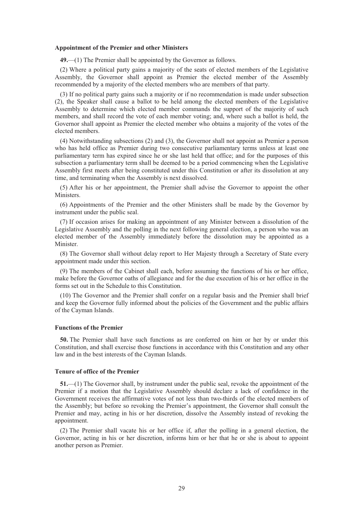#### **Appointment of the Premier and other Ministers**

**49.**—(1) The Premier shall be appointed by the Governor as follows.

(2) Where a political party gains a majority of the seats of elected members of the Legislative Assembly, the Governor shall appoint as Premier the elected member of the Assembly recommended by a majority of the elected members who are members of that party.

(3) If no political party gains such a majority or if no recommendation is made under subsection (2), the Speaker shall cause a ballot to be held among the elected members of the Legislative Assembly to determine which elected member commands the support of the majority of such members, and shall record the vote of each member voting; and, where such a ballot is held, the Governor shall appoint as Premier the elected member who obtains a majority of the votes of the elected members.

(4) Notwithstanding subsections (2) and (3), the Governor shall not appoint as Premier a person who has held office as Premier during two consecutive parliamentary terms unless at least one parliamentary term has expired since he or she last held that office; and for the purposes of this subsection a parliamentary term shall be deemed to be a period commencing when the Legislative Assembly first meets after being constituted under this Constitution or after its dissolution at any time, and terminating when the Assembly is next dissolved.

(5) After his or her appointment, the Premier shall advise the Governor to appoint the other Ministers.

(6) Appointments of the Premier and the other Ministers shall be made by the Governor by instrument under the public seal.

(7) If occasion arises for making an appointment of any Minister between a dissolution of the Legislative Assembly and the polling in the next following general election, a person who was an elected member of the Assembly immediately before the dissolution may be appointed as a Minister.

(8) The Governor shall without delay report to Her Majesty through a Secretary of State every appointment made under this section.

(9) The members of the Cabinet shall each, before assuming the functions of his or her office, make before the Governor oaths of allegiance and for the due execution of his or her office in the forms set out in the Schedule to this Constitution.

(10) The Governor and the Premier shall confer on a regular basis and the Premier shall brief and keep the Governor fully informed about the policies of the Government and the public affairs of the Cayman Islands.

#### **Functions of the Premier**

**50.** The Premier shall have such functions as are conferred on him or her by or under this Constitution, and shall exercise those functions in accordance with this Constitution and any other law and in the best interests of the Cayman Islands.

#### **Tenure of office of the Premier**

**51.**—(1) The Governor shall, by instrument under the public seal, revoke the appointment of the Premier if a motion that the Legislative Assembly should declare a lack of confidence in the Government receives the affirmative votes of not less than two-thirds of the elected members of the Assembly; but before so revoking the Premier's appointment, the Governor shall consult the Premier and may, acting in his or her discretion, dissolve the Assembly instead of revoking the appointment.

(2) The Premier shall vacate his or her office if, after the polling in a general election, the Governor, acting in his or her discretion, informs him or her that he or she is about to appoint another person as Premier.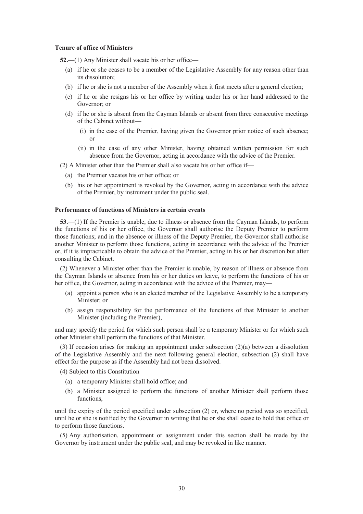#### **Tenure of office of Ministers**

**52.**—(1) Any Minister shall vacate his or her office—

- (a) if he or she ceases to be a member of the Legislative Assembly for any reason other than its dissolution;
- (b) if he or she is not a member of the Assembly when it first meets after a general election;
- (c) if he or she resigns his or her office by writing under his or her hand addressed to the Governor; or
- (d) if he or she is absent from the Cayman Islands or absent from three consecutive meetings of the Cabinet without—
	- (i) in the case of the Premier, having given the Governor prior notice of such absence; or
	- (ii) in the case of any other Minister, having obtained written permission for such absence from the Governor, acting in accordance with the advice of the Premier.
- (2) A Minister other than the Premier shall also vacate his or her office if—
	- (a) the Premier vacates his or her office; or
	- (b) his or her appointment is revoked by the Governor, acting in accordance with the advice of the Premier, by instrument under the public seal.

#### **Performance of functions of Ministers in certain events**

**53.**—(1) If the Premier is unable, due to illness or absence from the Cayman Islands, to perform the functions of his or her office, the Governor shall authorise the Deputy Premier to perform those functions; and in the absence or illness of the Deputy Premier, the Governor shall authorise another Minister to perform those functions, acting in accordance with the advice of the Premier or, if it is impracticable to obtain the advice of the Premier, acting in his or her discretion but after consulting the Cabinet.

(2) Whenever a Minister other than the Premier is unable, by reason of illness or absence from the Cayman Islands or absence from his or her duties on leave, to perform the functions of his or her office, the Governor, acting in accordance with the advice of the Premier, may—

- (a) appoint a person who is an elected member of the Legislative Assembly to be a temporary Minister; or
- (b) assign responsibility for the performance of the functions of that Minister to another Minister (including the Premier),

and may specify the period for which such person shall be a temporary Minister or for which such other Minister shall perform the functions of that Minister.

(3) If occasion arises for making an appointment under subsection (2)(a) between a dissolution of the Legislative Assembly and the next following general election, subsection (2) shall have effect for the purpose as if the Assembly had not been dissolved.

(4) Subject to this Constitution—

- (a) a temporary Minister shall hold office; and
- (b) a Minister assigned to perform the functions of another Minister shall perform those functions.

until the expiry of the period specified under subsection (2) or, where no period was so specified, until he or she is notified by the Governor in writing that he or she shall cease to hold that office or to perform those functions.

(5) Any authorisation, appointment or assignment under this section shall be made by the Governor by instrument under the public seal, and may be revoked in like manner.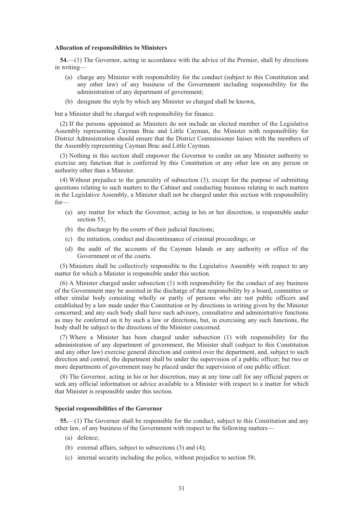#### **Allocation of responsibilities to Ministers**

**54.**—(1) The Governor, acting in accordance with the advice of the Premier, shall by directions in writing—

- (a) charge any Minister with responsibility for the conduct (subject to this Constitution and any other law) of any business of the Government including responsibility for the administration of any department of government;
- (b) designate the style by which any Minister so charged shall be known,

but a Minister shall be charged with responsibility for finance.

(2) If the persons appointed as Ministers do not include an elected member of the Legislative Assembly representing Cayman Brac and Little Cayman, the Minister with responsibility for District Administration should ensure that the District Commissioner liaises with the members of the Assembly representing Cayman Brac and Little Cayman.

(3) Nothing in this section shall empower the Governor to confer on any Minister authority to exercise any function that is conferred by this Constitution or any other law on any person or authority other than a Minister.

(4) Without prejudice to the generality of subsection (3), except for the purpose of submitting questions relating to such matters to the Cabinet and conducting business relating to such matters in the Legislative Assembly, a Minister shall not be charged under this section with responsibility for—

- (a) any matter for which the Governor, acting in his or her discretion, is responsible under section 55:
- (b) the discharge by the courts of their judicial functions;
- (c) the initiation, conduct and discontinuance of criminal proceedings; or
- (d) the audit of the accounts of the Cayman Islands or any authority or office of the Government or of the courts.

(5) Ministers shall be collectively responsible to the Legislative Assembly with respect to any matter for which a Minister is responsible under this section.

(6) A Minister charged under subsection (1) with responsibility for the conduct of any business of the Government may be assisted in the discharge of that responsibility by a board, committee or other similar body consisting wholly or partly of persons who are not public officers and established by a law made under this Constitution or by directions in writing given by the Minister concerned; and any such body shall have such advisory, consultative and administrative functions as may be conferred on it by such a law or directions, but, in exercising any such functions, the body shall be subject to the directions of the Minister concerned.

(7) Where a Minister has been charged under subsection (1) with responsibility for the administration of any department of government, the Minister shall (subject to this Constitution and any other law) exercise general direction and control over the department, and, subject to such direction and control, the department shall be under the supervision of a public officer; but two or more departments of government may be placed under the supervision of one public officer.

(8) The Governor, acting in his or her discretion, may at any time call for any official papers or seek any official information or advice available to a Minister with respect to a matter for which that Minister is responsible under this section.

#### **Special responsibilities of the Governor**

**55.**—(1) The Governor shall be responsible for the conduct, subject to this Constitution and any other law, of any business of the Government with respect to the following matters—

- (a) defence;
- (b) external affairs, subject to subsections (3) and (4);
- (c) internal security including the police, without prejudice to section 58;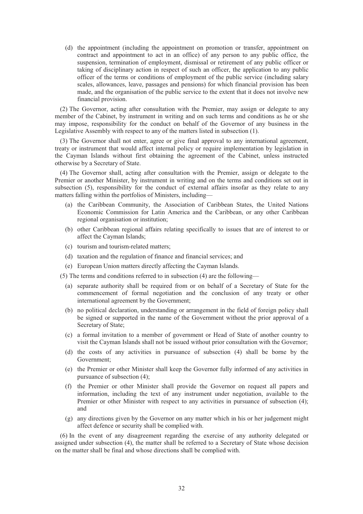(d) the appointment (including the appointment on promotion or transfer, appointment on contract and appointment to act in an office) of any person to any public office, the suspension, termination of employment, dismissal or retirement of any public officer or taking of disciplinary action in respect of such an officer, the application to any public officer of the terms or conditions of employment of the public service (including salary scales, allowances, leave, passages and pensions) for which financial provision has been made, and the organisation of the public service to the extent that it does not involve new financial provision.

(2) The Governor, acting after consultation with the Premier, may assign or delegate to any member of the Cabinet, by instrument in writing and on such terms and conditions as he or she may impose, responsibility for the conduct on behalf of the Governor of any business in the Legislative Assembly with respect to any of the matters listed in subsection (1).

(3) The Governor shall not enter, agree or give final approval to any international agreement, treaty or instrument that would affect internal policy or require implementation by legislation in the Cayman Islands without first obtaining the agreement of the Cabinet, unless instructed otherwise by a Secretary of State.

(4) The Governor shall, acting after consultation with the Premier, assign or delegate to the Premier or another Minister, by instrument in writing and on the terms and conditions set out in subsection (5), responsibility for the conduct of external affairs insofar as they relate to any matters falling within the portfolios of Ministers, including—

- (a) the Caribbean Community, the Association of Caribbean States, the United Nations Economic Commission for Latin America and the Caribbean, or any other Caribbean regional organisation or institution;
- (b) other Caribbean regional affairs relating specifically to issues that are of interest to or affect the Cayman Islands;
- (c) tourism and tourism-related matters;
- (d) taxation and the regulation of finance and financial services; and
- (e) European Union matters directly affecting the Cayman Islands.
- (5) The terms and conditions referred to in subsection (4) are the following—
	- (a) separate authority shall be required from or on behalf of a Secretary of State for the commencement of formal negotiation and the conclusion of any treaty or other international agreement by the Government;
	- (b) no political declaration, understanding or arrangement in the field of foreign policy shall be signed or supported in the name of the Government without the prior approval of a Secretary of State;
	- (c) a formal invitation to a member of government or Head of State of another country to visit the Cayman Islands shall not be issued without prior consultation with the Governor;
	- (d) the costs of any activities in pursuance of subsection (4) shall be borne by the Government;
	- (e) the Premier or other Minister shall keep the Governor fully informed of any activities in pursuance of subsection (4);
	- (f) the Premier or other Minister shall provide the Governor on request all papers and information, including the text of any instrument under negotiation, available to the Premier or other Minister with respect to any activities in pursuance of subsection  $(4)$ ; and
	- (g) any directions given by the Governor on any matter which in his or her judgement might affect defence or security shall be complied with.

(6) In the event of any disagreement regarding the exercise of any authority delegated or assigned under subsection (4), the matter shall be referred to a Secretary of State whose decision on the matter shall be final and whose directions shall be complied with.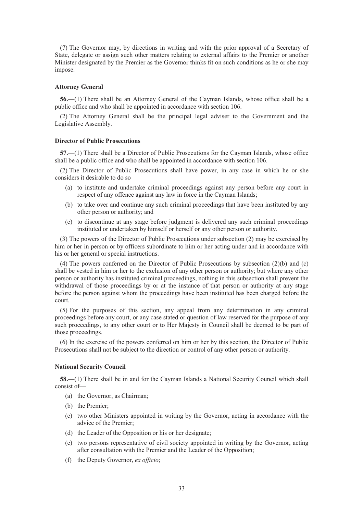(7) The Governor may, by directions in writing and with the prior approval of a Secretary of State, delegate or assign such other matters relating to external affairs to the Premier or another Minister designated by the Premier as the Governor thinks fit on such conditions as he or she may impose.

#### **Attorney General**

**56.**—(1) There shall be an Attorney General of the Cayman Islands, whose office shall be a public office and who shall be appointed in accordance with section 106.

(2) The Attorney General shall be the principal legal adviser to the Government and the Legislative Assembly.

#### **Director of Public Prosecutions**

**57.**—(1) There shall be a Director of Public Prosecutions for the Cayman Islands, whose office shall be a public office and who shall be appointed in accordance with section 106.

(2) The Director of Public Prosecutions shall have power, in any case in which he or she considers it desirable to do so—

- (a) to institute and undertake criminal proceedings against any person before any court in respect of any offence against any law in force in the Cayman Islands;
- (b) to take over and continue any such criminal proceedings that have been instituted by any other person or authority; and
- (c) to discontinue at any stage before judgment is delivered any such criminal proceedings instituted or undertaken by himself or herself or any other person or authority.

(3) The powers of the Director of Public Prosecutions under subsection (2) may be exercised by him or her in person or by officers subordinate to him or her acting under and in accordance with his or her general or special instructions.

(4) The powers conferred on the Director of Public Prosecutions by subsection (2)(b) and (c) shall be vested in him or her to the exclusion of any other person or authority; but where any other person or authority has instituted criminal proceedings, nothing in this subsection shall prevent the withdrawal of those proceedings by or at the instance of that person or authority at any stage before the person against whom the proceedings have been instituted has been charged before the court.

(5) For the purposes of this section, any appeal from any determination in any criminal proceedings before any court, or any case stated or question of law reserved for the purpose of any such proceedings, to any other court or to Her Majesty in Council shall be deemed to be part of those proceedings.

(6) In the exercise of the powers conferred on him or her by this section, the Director of Public Prosecutions shall not be subject to the direction or control of any other person or authority.

#### **National Security Council**

**58.**—(1) There shall be in and for the Cayman Islands a National Security Council which shall consist of—

- (a) the Governor, as Chairman;
- (b) the Premier;
- (c) two other Ministers appointed in writing by the Governor, acting in accordance with the advice of the Premier;
- (d) the Leader of the Opposition or his or her designate;
- (e) two persons representative of civil society appointed in writing by the Governor, acting after consultation with the Premier and the Leader of the Opposition;
- (f) the Deputy Governor, *ex officio*;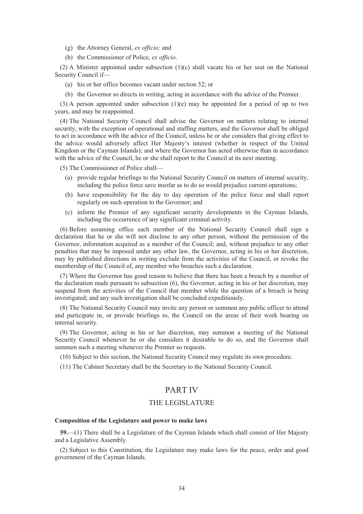- (g) the Attorney General, *ex officio;* and
- (h) the Commissioner of Police, *ex officio*.

(2) A Minister appointed under subsection  $(1)(c)$  shall vacate his or her seat on the National Security Council if—

- (a) his or her office becomes vacant under section 52; or
- (b) the Governor so directs in writing, acting in accordance with the advice of the Premier.

(3) A person appointed under subsection  $(1)(e)$  may be appointed for a period of up to two years, and may be reappointed.

(4) The National Security Council shall advise the Governor on matters relating to internal security, with the exception of operational and staffing matters, and the Governor shall be obliged to act in accordance with the advice of the Council, unless he or she considers that giving effect to the advice would adversely affect Her Majesty's interest (whether in respect of the United Kingdom or the Cayman Islands); and where the Governor has acted otherwise than in accordance with the advice of the Council, he or she shall report to the Council at its next meeting.

(5) The Commissioner of Police shall—

- (a) provide regular briefings to the National Security Council on matters of internal security, including the police force save insofar as to do so would prejudice current operations;
- (b) have responsibility for the day to day operation of the police force and shall report regularly on such operation to the Governor; and
- (c) inform the Premier of any significant security developments in the Cayman Islands, including the occurrence of any significant criminal activity.

(6) Before assuming office each member of the National Security Council shall sign a declaration that he or she will not disclose to any other person, without the permission of the Governor, information acquired as a member of the Council; and, without prejudice to any other penalties that may be imposed under any other law, the Governor, acting in his or her discretion, may by published directions in writing exclude from the activities of the Council, or revoke the membership of the Council of, any member who breaches such a declaration.

(7) Where the Governor has good reason to believe that there has been a breach by a member of the declaration made pursuant to subsection (6), the Governor, acting in his or her discretion, may suspend from the activities of the Council that member while the question of a breach is being investigated; and any such investigation shall be concluded expeditiously.

(8) The National Security Council may invite any person or summon any public officer to attend and participate in, or provide briefings to, the Council on the areas of their work bearing on internal security.

(9) The Governor, acting in his or her discretion, may summon a meeting of the National Security Council whenever he or she considers it desirable to do so, and the Governor shall summon such a meeting whenever the Premier so requests.

(10) Subject to this section, the National Security Council may regulate its own procedure.

(11) The Cabinet Secretary shall be the Secretary to the National Security Council.

## PART IV

#### THE LEGISLATURE

#### **Composition of the Legislature and power to make laws**

**59.**—(1) There shall be a Legislature of the Cayman Islands which shall consist of Her Majesty and a Legislative Assembly.

(2) Subject to this Constitution, the Legislature may make laws for the peace, order and good government of the Cayman Islands.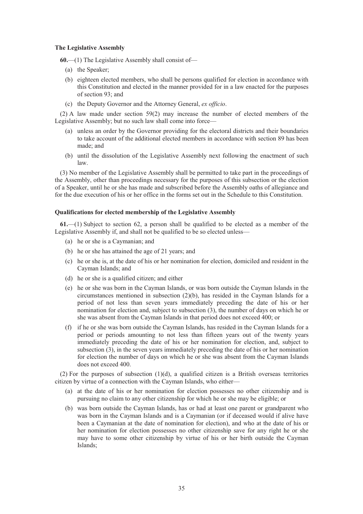#### **The Legislative Assembly**

**60.**—(1) The Legislative Assembly shall consist of—

- (a) the Speaker;
- (b) eighteen elected members, who shall be persons qualified for election in accordance with this Constitution and elected in the manner provided for in a law enacted for the purposes of section 93; and
- (c) the Deputy Governor and the Attorney General, *ex officio*.

(2) A law made under section 59(2) may increase the number of elected members of the Legislative Assembly; but no such law shall come into force—

- (a) unless an order by the Governor providing for the electoral districts and their boundaries to take account of the additional elected members in accordance with section 89 has been made; and
- (b) until the dissolution of the Legislative Assembly next following the enactment of such law.

(3) No member of the Legislative Assembly shall be permitted to take part in the proceedings of the Assembly, other than proceedings necessary for the purposes of this subsection or the election of a Speaker, until he or she has made and subscribed before the Assembly oaths of allegiance and for the due execution of his or her office in the forms set out in the Schedule to this Constitution.

#### **Qualifications for elected membership of the Legislative Assembly**

**61.**—(1) Subject to section 62, a person shall be qualified to be elected as a member of the Legislative Assembly if, and shall not be qualified to be so elected unless—

- (a) he or she is a Caymanian; and
- (b) he or she has attained the age of 21 years; and
- (c) he or she is, at the date of his or her nomination for election, domiciled and resident in the Cayman Islands; and
- (d) he or she is a qualified citizen; and either
- (e) he or she was born in the Cayman Islands, or was born outside the Cayman Islands in the circumstances mentioned in subsection  $(2)(b)$ , has resided in the Cayman Islands for a period of not less than seven years immediately preceding the date of his or her nomination for election and, subject to subsection (3), the number of days on which he or she was absent from the Cayman Islands in that period does not exceed 400; or
- (f) if he or she was born outside the Cayman Islands, has resided in the Cayman Islands for a period or periods amounting to not less than fifteen years out of the twenty years immediately preceding the date of his or her nomination for election, and, subject to subsection (3), in the seven years immediately preceding the date of his or her nomination for election the number of days on which he or she was absent from the Cayman Islands does not exceed 400.

(2) For the purposes of subsection  $(1)(d)$ , a qualified citizen is a British overseas territories citizen by virtue of a connection with the Cayman Islands, who either—

- (a) at the date of his or her nomination for election possesses no other citizenship and is pursuing no claim to any other citizenship for which he or she may be eligible; or
- (b) was born outside the Cayman Islands, has or had at least one parent or grandparent who was born in the Cayman Islands and is a Caymanian (or if deceased would if alive have been a Caymanian at the date of nomination for election), and who at the date of his or her nomination for election possesses no other citizenship save for any right he or she may have to some other citizenship by virtue of his or her birth outside the Cayman Islands;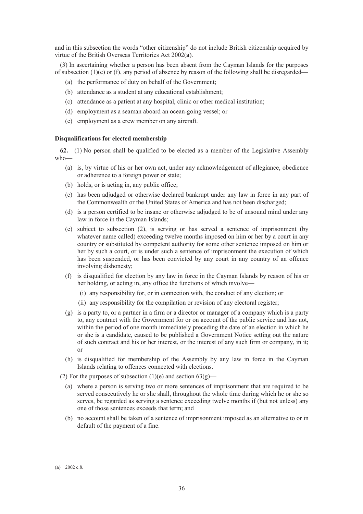and in this subsection the words "other citizenship" do not include British citizenship acquired by virtue of the British Overseas Territories Act 2002(**a**).

(3) In ascertaining whether a person has been absent from the Cayman Islands for the purposes of subsection (1)(e) or (f), any period of absence by reason of the following shall be disregarded—

- (a) the performance of duty on behalf of the Government;
- (b) attendance as a student at any educational establishment;
- (c) attendance as a patient at any hospital, clinic or other medical institution;
- (d) employment as a seaman aboard an ocean-going vessel; or
- (e) employment as a crew member on any aircraft.

#### **Disqualifications for elected membership**

**62.**—(1) No person shall be qualified to be elected as a member of the Legislative Assembly who—

- (a) is, by virtue of his or her own act, under any acknowledgement of allegiance, obedience or adherence to a foreign power or state;
- (b) holds, or is acting in, any public office;
- (c) has been adjudged or otherwise declared bankrupt under any law in force in any part of the Commonwealth or the United States of America and has not been discharged;
- (d) is a person certified to be insane or otherwise adjudged to be of unsound mind under any law in force in the Cayman Islands;
- (e) subject to subsection (2), is serving or has served a sentence of imprisonment (by whatever name called) exceeding twelve months imposed on him or her by a court in any country or substituted by competent authority for some other sentence imposed on him or her by such a court, or is under such a sentence of imprisonment the execution of which has been suspended, or has been convicted by any court in any country of an offence involving dishonesty;
- (f) is disqualified for election by any law in force in the Cayman Islands by reason of his or her holding, or acting in, any office the functions of which involve—
	- (i) any responsibility for, or in connection with, the conduct of any election; or
	- (ii) any responsibility for the compilation or revision of any electoral register;
- (g) is a party to, or a partner in a firm or a director or manager of a company which is a party to, any contract with the Government for or on account of the public service and has not, within the period of one month immediately preceding the date of an election in which he or she is a candidate, caused to be published a Government Notice setting out the nature of such contract and his or her interest, or the interest of any such firm or company, in it; or
- (h) is disqualified for membership of the Assembly by any law in force in the Cayman Islands relating to offences connected with elections.
- (2) For the purposes of subsection (1)(e) and section  $63(g)$ 
	- (a) where a person is serving two or more sentences of imprisonment that are required to be served consecutively he or she shall, throughout the whole time during which he or she so serves, be regarded as serving a sentence exceeding twelve months if (but not unless) any one of those sentences exceeds that term; and
	- (b) no account shall be taken of a sentence of imprisonment imposed as an alternative to or in default of the payment of a fine.

 $\overline{a}$ (**a**) 2002 c.8.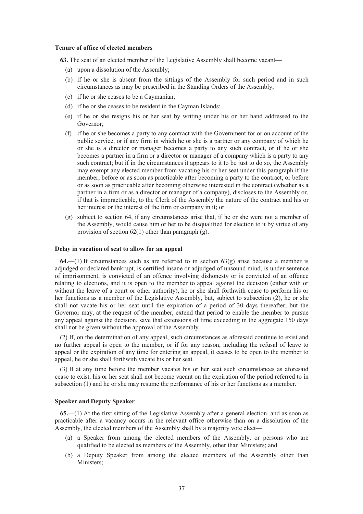#### **Tenure of office of elected members**

**63.** The seat of an elected member of the Legislative Assembly shall become vacant—

- (a) upon a dissolution of the Assembly;
- (b) if he or she is absent from the sittings of the Assembly for such period and in such circumstances as may be prescribed in the Standing Orders of the Assembly;
- (c) if he or she ceases to be a Caymanian;
- (d) if he or she ceases to be resident in the Cayman Islands;
- (e) if he or she resigns his or her seat by writing under his or her hand addressed to the Governor;
- (f) if he or she becomes a party to any contract with the Government for or on account of the public service, or if any firm in which he or she is a partner or any company of which he or she is a director or manager becomes a party to any such contract, or if he or she becomes a partner in a firm or a director or manager of a company which is a party to any such contract; but if in the circumstances it appears to it to be just to do so, the Assembly may exempt any elected member from vacating his or her seat under this paragraph if the member, before or as soon as practicable after becoming a party to the contract, or before or as soon as practicable after becoming otherwise interested in the contract (whether as a partner in a firm or as a director or manager of a company), discloses to the Assembly or, if that is impracticable, to the Clerk of the Assembly the nature of the contract and his or her interest or the interest of the firm or company in it; or
- (g) subject to section 64, if any circumstances arise that, if he or she were not a member of the Assembly, would cause him or her to be disqualified for election to it by virtue of any provision of section  $62(1)$  other than paragraph (g).

#### **Delay in vacation of seat to allow for an appeal**

**64.**—(1) If circumstances such as are referred to in section 63(g) arise because a member is adjudged or declared bankrupt, is certified insane or adjudged of unsound mind, is under sentence of imprisonment, is convicted of an offence involving dishonesty or is convicted of an offence relating to elections, and it is open to the member to appeal against the decision (either with or without the leave of a court or other authority), he or she shall forthwith cease to perform his or her functions as a member of the Legislative Assembly, but, subject to subsection (2), he or she shall not vacate his or her seat until the expiration of a period of 30 days thereafter; but the Governor may, at the request of the member, extend that period to enable the member to pursue any appeal against the decision, save that extensions of time exceeding in the aggregate 150 days shall not be given without the approval of the Assembly.

(2) If, on the determination of any appeal, such circumstances as aforesaid continue to exist and no further appeal is open to the member, or if for any reason, including the refusal of leave to appeal or the expiration of any time for entering an appeal, it ceases to be open to the member to appeal, he or she shall forthwith vacate his or her seat.

(3) If at any time before the member vacates his or her seat such circumstances as aforesaid cease to exist, his or her seat shall not become vacant on the expiration of the period referred to in subsection (1) and he or she may resume the performance of his or her functions as a member.

#### **Speaker and Deputy Speaker**

**65.**—(1) At the first sitting of the Legislative Assembly after a general election, and as soon as practicable after a vacancy occurs in the relevant office otherwise than on a dissolution of the Assembly, the elected members of the Assembly shall by a majority vote elect—

- (a) a Speaker from among the elected members of the Assembly, or persons who are qualified to be elected as members of the Assembly, other than Ministers; and
- (b) a Deputy Speaker from among the elected members of the Assembly other than Ministers;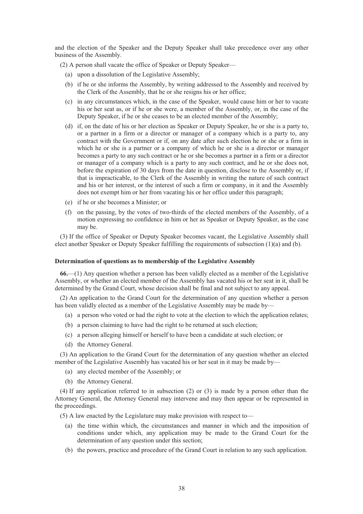and the election of the Speaker and the Deputy Speaker shall take precedence over any other business of the Assembly.

(2) A person shall vacate the office of Speaker or Deputy Speaker—

- (a) upon a dissolution of the Legislative Assembly;
- (b) if he or she informs the Assembly, by writing addressed to the Assembly and received by the Clerk of the Assembly, that he or she resigns his or her office;
- (c) in any circumstances which, in the case of the Speaker, would cause him or her to vacate his or her seat as, or if he or she were, a member of the Assembly, or, in the case of the Deputy Speaker, if he or she ceases to be an elected member of the Assembly;
- (d) if, on the date of his or her election as Speaker or Deputy Speaker, he or she is a party to, or a partner in a firm or a director or manager of a company which is a party to, any contract with the Government or if, on any date after such election he or she or a firm in which he or she is a partner or a company of which he or she is a director or manager becomes a party to any such contract or he or she becomes a partner in a firm or a director or manager of a company which is a party to any such contract, and he or she does not, before the expiration of 30 days from the date in question, disclose to the Assembly or, if that is impracticable, to the Clerk of the Assembly in writing the nature of such contract and his or her interest, or the interest of such a firm or company, in it and the Assembly does not exempt him or her from vacating his or her office under this paragraph;
- (e) if he or she becomes a Minister; or
- (f) on the passing, by the votes of two-thirds of the elected members of the Assembly, of a motion expressing no confidence in him or her as Speaker or Deputy Speaker, as the case may be.

(3) If the office of Speaker or Deputy Speaker becomes vacant, the Legislative Assembly shall elect another Speaker or Deputy Speaker fulfilling the requirements of subsection (1)(a) and (b).

#### **Determination of questions as to membership of the Legislative Assembly**

**66.**—(1) Any question whether a person has been validly elected as a member of the Legislative Assembly, or whether an elected member of the Assembly has vacated his or her seat in it, shall be determined by the Grand Court, whose decision shall be final and not subject to any appeal.

(2) An application to the Grand Court for the determination of any question whether a person has been validly elected as a member of the Legislative Assembly may be made by-

- (a) a person who voted or had the right to vote at the election to which the application relates;
- (b) a person claiming to have had the right to be returned at such election;
- (c) a person alleging himself or herself to have been a candidate at such election; or
- (d) the Attorney General.

(3) An application to the Grand Court for the determination of any question whether an elected member of the Legislative Assembly has vacated his or her seat in it may be made by—

- (a) any elected member of the Assembly; or
- (b) the Attorney General.

(4) If any application referred to in subsection (2) or (3) is made by a person other than the Attorney General, the Attorney General may intervene and may then appear or be represented in the proceedings.

(5) A law enacted by the Legislature may make provision with respect to—

- (a) the time within which, the circumstances and manner in which and the imposition of conditions under which, any application may be made to the Grand Court for the determination of any question under this section;
- (b) the powers, practice and procedure of the Grand Court in relation to any such application.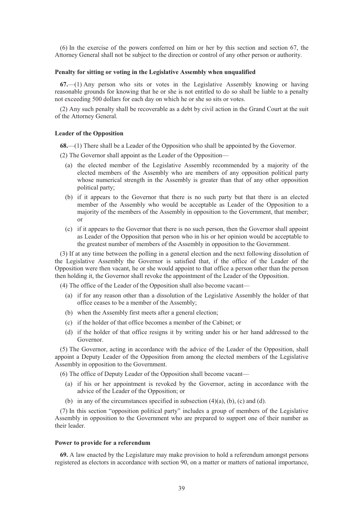(6) In the exercise of the powers conferred on him or her by this section and section 67, the Attorney General shall not be subject to the direction or control of any other person or authority.

#### **Penalty for sitting or voting in the Legislative Assembly when unqualified**

**67.**—(1) Any person who sits or votes in the Legislative Assembly knowing or having reasonable grounds for knowing that he or she is not entitled to do so shall be liable to a penalty not exceeding 500 dollars for each day on which he or she so sits or votes.

(2) Any such penalty shall be recoverable as a debt by civil action in the Grand Court at the suit of the Attorney General.

#### **Leader of the Opposition**

**68.**—(1) There shall be a Leader of the Opposition who shall be appointed by the Governor.

(2) The Governor shall appoint as the Leader of the Opposition—

- (a) the elected member of the Legislative Assembly recommended by a majority of the elected members of the Assembly who are members of any opposition political party whose numerical strength in the Assembly is greater than that of any other opposition political party;
- (b) if it appears to the Governor that there is no such party but that there is an elected member of the Assembly who would be acceptable as Leader of the Opposition to a majority of the members of the Assembly in opposition to the Government, that member; or
- (c) if it appears to the Governor that there is no such person, then the Governor shall appoint as Leader of the Opposition that person who in his or her opinion would be acceptable to the greatest number of members of the Assembly in opposition to the Government.

(3) If at any time between the polling in a general election and the next following dissolution of the Legislative Assembly the Governor is satisfied that, if the office of the Leader of the Opposition were then vacant, he or she would appoint to that office a person other than the person then holding it, the Governor shall revoke the appointment of the Leader of the Opposition.

(4) The office of the Leader of the Opposition shall also become vacant—

- (a) if for any reason other than a dissolution of the Legislative Assembly the holder of that office ceases to be a member of the Assembly;
- (b) when the Assembly first meets after a general election;
- (c) if the holder of that office becomes a member of the Cabinet; or
- (d) if the holder of that office resigns it by writing under his or her hand addressed to the Governor.

(5) The Governor, acting in accordance with the advice of the Leader of the Opposition, shall appoint a Deputy Leader of the Opposition from among the elected members of the Legislative Assembly in opposition to the Government.

(6) The office of Deputy Leader of the Opposition shall become vacant—

- (a) if his or her appointment is revoked by the Governor, acting in accordance with the advice of the Leader of the Opposition; or
- (b) in any of the circumstances specified in subsection  $(4)(a)$ ,  $(b)$ ,  $(c)$  and  $(d)$ .

(7) In this section "opposition political party" includes a group of members of the Legislative Assembly in opposition to the Government who are prepared to support one of their number as their leader.

#### **Power to provide for a referendum**

**69.** A law enacted by the Legislature may make provision to hold a referendum amongst persons registered as electors in accordance with section 90, on a matter or matters of national importance,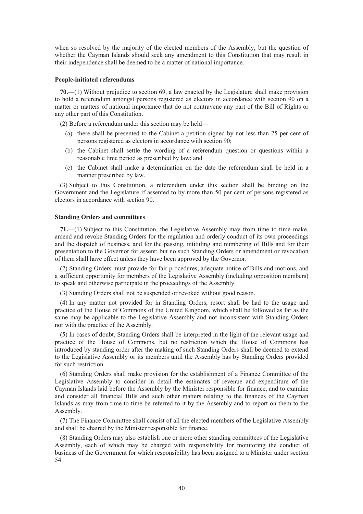when so resolved by the majority of the elected members of the Assembly; but the question of whether the Cayman Islands should seek any amendment to this Constitution that may result in their independence shall be deemed to be a matter of national importance.

#### **People-initiated referendums**

**70.**—(1) Without prejudice to section 69, a law enacted by the Legislature shall make provision to hold a referendum amongst persons registered as electors in accordance with section 90 on a matter or matters of national importance that do not contravene any part of the Bill of Rights or any other part of this Constitution.

(2) Before a referendum under this section may be held—

- (a) there shall be presented to the Cabinet a petition signed by not less than 25 per cent of persons registered as electors in accordance with section 90;
- (b) the Cabinet shall settle the wording of a referendum question or questions within a reasonable time period as prescribed by law; and
- (c) the Cabinet shall make a determination on the date the referendum shall be held in a manner prescribed by law.

(3) Subject to this Constitution, a referendum under this section shall be binding on the Government and the Legislature if assented to by more than 50 per cent of persons registered as electors in accordance with section 90.

#### **Standing Orders and committees**

**71.**—(1) Subject to this Constitution, the Legislative Assembly may from time to time make, amend and revoke Standing Orders for the regulation and orderly conduct of its own proceedings and the dispatch of business, and for the passing, intituling and numbering of Bills and for their presentation to the Governor for assent; but no such Standing Orders or amendment or revocation of them shall have effect unless they have been approved by the Governor.

(2) Standing Orders must provide for fair procedures, adequate notice of Bills and motions, and a sufficient opportunity for members of the Legislative Assembly (including opposition members) to speak and otherwise participate in the proceedings of the Assembly.

(3) Standing Orders shall not be suspended or revoked without good reason.

(4) In any matter not provided for in Standing Orders, resort shall be had to the usage and practice of the House of Commons of the United Kingdom, which shall be followed as far as the same may be applicable to the Legislative Assembly and not inconsistent with Standing Orders nor with the practice of the Assembly.

(5) In cases of doubt, Standing Orders shall be interpreted in the light of the relevant usage and practice of the House of Commons, but no restriction which the House of Commons has introduced by standing order after the making of such Standing Orders shall be deemed to extend to the Legislative Assembly or its members until the Assembly has by Standing Orders provided for such restriction.

(6) Standing Orders shall make provision for the establishment of a Finance Committee of the Legislative Assembly to consider in detail the estimates of revenue and expenditure of the Cayman Islands laid before the Assembly by the Minister responsible for finance, and to examine and consider all financial Bills and such other matters relating to the finances of the Cayman Islands as may from time to time be referred to it by the Assembly and to report on them to the Assembly.

(7) The Finance Committee shall consist of all the elected members of the Legislative Assembly and shall be chaired by the Minister responsible for finance.

(8) Standing Orders may also establish one or more other standing committees of the Legislative Assembly, each of which may be charged with responsibility for monitoring the conduct of business of the Government for which responsibility has been assigned to a Minister under section 54.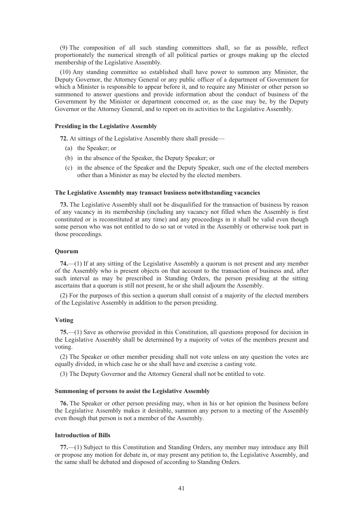(9) The composition of all such standing committees shall, so far as possible, reflect proportionately the numerical strength of all political parties or groups making up the elected membership of the Legislative Assembly.

(10) Any standing committee so established shall have power to summon any Minister, the Deputy Governor, the Attorney General or any public officer of a department of Government for which a Minister is responsible to appear before it, and to require any Minister or other person so summoned to answer questions and provide information about the conduct of business of the Government by the Minister or department concerned or, as the case may be, by the Deputy Governor or the Attorney General, and to report on its activities to the Legislative Assembly.

#### **Presiding in the Legislative Assembly**

**72.** At sittings of the Legislative Assembly there shall preside—

- (a) the Speaker; or
- (b) in the absence of the Speaker, the Deputy Speaker; or
- (c) in the absence of the Speaker and the Deputy Speaker, such one of the elected members other than a Minister as may be elected by the elected members.

#### **The Legislative Assembly may transact business notwithstanding vacancies**

**73.** The Legislative Assembly shall not be disqualified for the transaction of business by reason of any vacancy in its membership (including any vacancy not filled when the Assembly is first constituted or is reconstituted at any time) and any proceedings in it shall be valid even though some person who was not entitled to do so sat or voted in the Assembly or otherwise took part in those proceedings.

#### **Quorum**

**74.**—(1) If at any sitting of the Legislative Assembly a quorum is not present and any member of the Assembly who is present objects on that account to the transaction of business and, after such interval as may be prescribed in Standing Orders, the person presiding at the sitting ascertains that a quorum is still not present, he or she shall adjourn the Assembly.

(2) For the purposes of this section a quorum shall consist of a majority of the elected members of the Legislative Assembly in addition to the person presiding.

#### **Voting**

**75.**—(1) Save as otherwise provided in this Constitution, all questions proposed for decision in the Legislative Assembly shall be determined by a majority of votes of the members present and voting.

(2) The Speaker or other member presiding shall not vote unless on any question the votes are equally divided, in which case he or she shall have and exercise a casting vote.

(3) The Deputy Governor and the Attorney General shall not be entitled to vote.

#### **Summoning of persons to assist the Legislative Assembly**

**76.** The Speaker or other person presiding may, when in his or her opinion the business before the Legislative Assembly makes it desirable, summon any person to a meeting of the Assembly even though that person is not a member of the Assembly.

#### **Introduction of Bills**

**77.**—(1) Subject to this Constitution and Standing Orders, any member may introduce any Bill or propose any motion for debate in, or may present any petition to, the Legislative Assembly, and the same shall be debated and disposed of according to Standing Orders.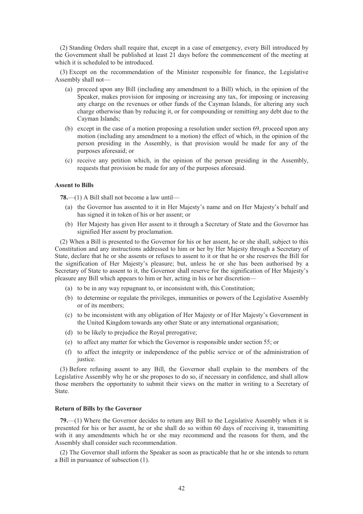(2) Standing Orders shall require that, except in a case of emergency, every Bill introduced by the Government shall be published at least 21 days before the commencement of the meeting at which it is scheduled to be introduced.

(3) Except on the recommendation of the Minister responsible for finance, the Legislative Assembly shall not—

- (a) proceed upon any Bill (including any amendment to a Bill) which, in the opinion of the Speaker, makes provision for imposing or increasing any tax, for imposing or increasing any charge on the revenues or other funds of the Cayman Islands, for altering any such charge otherwise than by reducing it, or for compounding or remitting any debt due to the Cayman Islands;
- (b) except in the case of a motion proposing a resolution under section 69, proceed upon any motion (including any amendment to a motion) the effect of which, in the opinion of the person presiding in the Assembly, is that provision would be made for any of the purposes aforesaid; or
- (c) receive any petition which, in the opinion of the person presiding in the Assembly, requests that provision be made for any of the purposes aforesaid.

#### **Assent to Bills**

**78.**—(1) A Bill shall not become a law until—

- (a) the Governor has assented to it in Her Majesty's name and on Her Majesty's behalf and has signed it in token of his or her assent; or
- (b) Her Majesty has given Her assent to it through a Secretary of State and the Governor has signified Her assent by proclamation.

(2) When a Bill is presented to the Governor for his or her assent, he or she shall, subject to this Constitution and any instructions addressed to him or her by Her Majesty through a Secretary of State, declare that he or she assents or refuses to assent to it or that he or she reserves the Bill for the signification of Her Majesty's pleasure; but, unless he or she has been authorised by a Secretary of State to assent to it, the Governor shall reserve for the signification of Her Majesty's pleasure any Bill which appears to him or her, acting in his or her discretion—

- (a) to be in any way repugnant to, or inconsistent with, this Constitution;
- (b) to determine or regulate the privileges, immunities or powers of the Legislative Assembly or of its members;
- (c) to be inconsistent with any obligation of Her Majesty or of Her Majesty's Government in the United Kingdom towards any other State or any international organisation;
- (d) to be likely to prejudice the Royal prerogative;
- (e) to affect any matter for which the Governor is responsible under section 55; or
- (f) to affect the integrity or independence of the public service or of the administration of justice.

(3) Before refusing assent to any Bill, the Governor shall explain to the members of the Legislative Assembly why he or she proposes to do so, if necessary in confidence, and shall allow those members the opportunity to submit their views on the matter in writing to a Secretary of State.

#### **Return of Bills by the Governor**

**79.**—(1) Where the Governor decides to return any Bill to the Legislative Assembly when it is presented for his or her assent, he or she shall do so within 60 days of receiving it, transmitting with it any amendments which he or she may recommend and the reasons for them, and the Assembly shall consider such recommendation.

(2) The Governor shall inform the Speaker as soon as practicable that he or she intends to return a Bill in pursuance of subsection (1).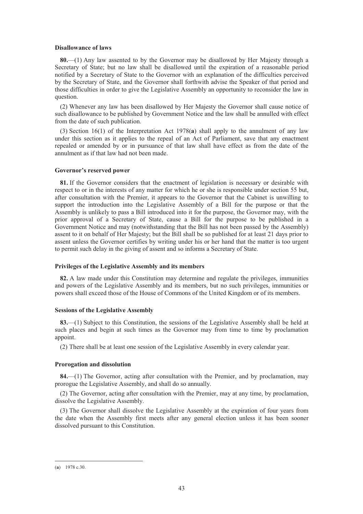#### **Disallowance of laws**

**80.**—(1) Any law assented to by the Governor may be disallowed by Her Majesty through a Secretary of State; but no law shall be disallowed until the expiration of a reasonable period notified by a Secretary of State to the Governor with an explanation of the difficulties perceived by the Secretary of State, and the Governor shall forthwith advise the Speaker of that period and those difficulties in order to give the Legislative Assembly an opportunity to reconsider the law in question.

(2) Whenever any law has been disallowed by Her Majesty the Governor shall cause notice of such disallowance to be published by Government Notice and the law shall be annulled with effect from the date of such publication.

(3) Section 16(1) of the Interpretation Act 1978(**a**) shall apply to the annulment of any law under this section as it applies to the repeal of an Act of Parliament, save that any enactment repealed or amended by or in pursuance of that law shall have effect as from the date of the annulment as if that law had not been made.

#### **Governor's reserved power**

**81.** If the Governor considers that the enactment of legislation is necessary or desirable with respect to or in the interests of any matter for which he or she is responsible under section 55 but, after consultation with the Premier, it appears to the Governor that the Cabinet is unwilling to support the introduction into the Legislative Assembly of a Bill for the purpose or that the Assembly is unlikely to pass a Bill introduced into it for the purpose, the Governor may, with the prior approval of a Secretary of State, cause a Bill for the purpose to be published in a Government Notice and may (notwithstanding that the Bill has not been passed by the Assembly) assent to it on behalf of Her Majesty; but the Bill shall be so published for at least 21 days prior to assent unless the Governor certifies by writing under his or her hand that the matter is too urgent to permit such delay in the giving of assent and so informs a Secretary of State.

#### **Privileges of the Legislative Assembly and its members**

**82.** A law made under this Constitution may determine and regulate the privileges, immunities and powers of the Legislative Assembly and its members, but no such privileges, immunities or powers shall exceed those of the House of Commons of the United Kingdom or of its members.

#### **Sessions of the Legislative Assembly**

**83.**—(1) Subject to this Constitution, the sessions of the Legislative Assembly shall be held at such places and begin at such times as the Governor may from time to time by proclamation appoint.

(2) There shall be at least one session of the Legislative Assembly in every calendar year.

#### **Prorogation and dissolution**

**84.**—(1) The Governor, acting after consultation with the Premier, and by proclamation, may prorogue the Legislative Assembly, and shall do so annually.

(2) The Governor, acting after consultation with the Premier, may at any time, by proclamation, dissolve the Legislative Assembly.

(3) The Governor shall dissolve the Legislative Assembly at the expiration of four years from the date when the Assembly first meets after any general election unless it has been sooner dissolved pursuant to this Constitution.

 $\overline{a}$ (**a**) 1978 c.30.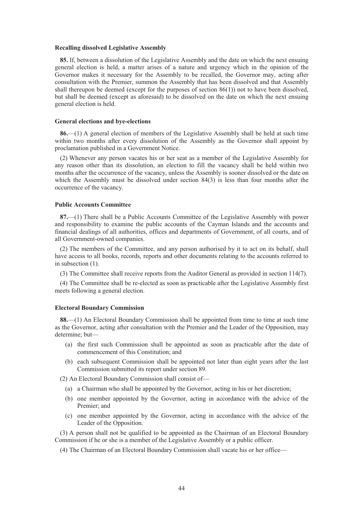#### **Recalling dissolved Legislative Assembly**

**85.** If, between a dissolution of the Legislative Assembly and the date on which the next ensuing general election is held, a matter arises of a nature and urgency which in the opinion of the Governor makes it necessary for the Assembly to be recalled, the Governor may, acting after consultation with the Premier, summon the Assembly that has been dissolved and that Assembly shall thereupon be deemed (except for the purposes of section 86(1)) not to have been dissolved, but shall be deemed (except as aforesaid) to be dissolved on the date on which the next ensuing general election is held.

#### **General elections and bye-elections**

**86.**—(1) A general election of members of the Legislative Assembly shall be held at such time within two months after every dissolution of the Assembly as the Governor shall appoint by proclamation published in a Government Notice.

(2) Whenever any person vacates his or her seat as a member of the Legislative Assembly for any reason other than its dissolution, an election to fill the vacancy shall be held within two months after the occurrence of the vacancy, unless the Assembly is sooner dissolved or the date on which the Assembly must be dissolved under section 84(3) is less than four months after the occurrence of the vacancy.

#### **Public Accounts Committee**

**87.**—(1) There shall be a Public Accounts Committee of the Legislative Assembly with power and responsibility to examine the public accounts of the Cayman Islands and the accounts and financial dealings of all authorities, offices and departments of Government, of all courts, and of all Government-owned companies.

(2) The members of the Committee, and any person authorised by it to act on its behalf, shall have access to all books, records, reports and other documents relating to the accounts referred to in subsection (1).

(3) The Committee shall receive reports from the Auditor General as provided in section 114(7).

(4) The Committee shall be re-elected as soon as practicable after the Legislative Assembly first meets following a general election.

#### **Electoral Boundary Commission**

**88.**—(1) An Electoral Boundary Commission shall be appointed from time to time at such time as the Governor, acting after consultation with the Premier and the Leader of the Opposition, may determine; but—

- (a) the first such Commission shall be appointed as soon as practicable after the date of commencement of this Constitution; and
- (b) each subsequent Commission shall be appointed not later than eight years after the last Commission submitted its report under section 89.

(2) An Electoral Boundary Commission shall consist of—

- (a) a Chairman who shall be appointed by the Governor, acting in his or her discretion;
- (b) one member appointed by the Governor, acting in accordance with the advice of the Premier; and
- (c) one member appointed by the Governor, acting in accordance with the advice of the Leader of the Opposition.

(3) A person shall not be qualified to be appointed as the Chairman of an Electoral Boundary Commission if he or she is a member of the Legislative Assembly or a public officer.

(4) The Chairman of an Electoral Boundary Commission shall vacate his or her office—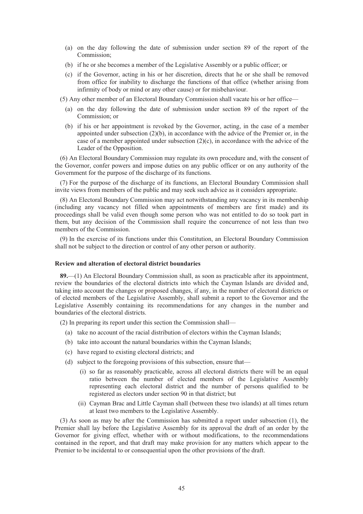- (a) on the day following the date of submission under section 89 of the report of the Commission;
- (b) if he or she becomes a member of the Legislative Assembly or a public officer; or
- (c) if the Governor, acting in his or her discretion, directs that he or she shall be removed from office for inability to discharge the functions of that office (whether arising from infirmity of body or mind or any other cause) or for misbehaviour.

(5) Any other member of an Electoral Boundary Commission shall vacate his or her office—

- (a) on the day following the date of submission under section 89 of the report of the Commission; or
- (b) if his or her appointment is revoked by the Governor, acting, in the case of a member appointed under subsection (2)(b), in accordance with the advice of the Premier or, in the case of a member appointed under subsection  $(2)(c)$ , in accordance with the advice of the Leader of the Opposition.

(6) An Electoral Boundary Commission may regulate its own procedure and, with the consent of the Governor, confer powers and impose duties on any public officer or on any authority of the Government for the purpose of the discharge of its functions.

(7) For the purpose of the discharge of its functions, an Electoral Boundary Commission shall invite views from members of the public and may seek such advice as it considers appropriate.

(8) An Electoral Boundary Commission may act notwithstanding any vacancy in its membership (including any vacancy not filled when appointments of members are first made) and its proceedings shall be valid even though some person who was not entitled to do so took part in them, but any decision of the Commission shall require the concurrence of not less than two members of the Commission.

(9) In the exercise of its functions under this Constitution, an Electoral Boundary Commission shall not be subject to the direction or control of any other person or authority.

#### **Review and alteration of electoral district boundaries**

**89.**—(1) An Electoral Boundary Commission shall, as soon as practicable after its appointment, review the boundaries of the electoral districts into which the Cayman Islands are divided and, taking into account the changes or proposed changes, if any, in the number of electoral districts or of elected members of the Legislative Assembly, shall submit a report to the Governor and the Legislative Assembly containing its recommendations for any changes in the number and boundaries of the electoral districts.

(2) In preparing its report under this section the Commission shall—

- (a) take no account of the racial distribution of electors within the Cayman Islands;
- (b) take into account the natural boundaries within the Cayman Islands;
- (c) have regard to existing electoral districts; and
- (d) subject to the foregoing provisions of this subsection, ensure that—
	- (i) so far as reasonably practicable, across all electoral districts there will be an equal ratio between the number of elected members of the Legislative Assembly representing each electoral district and the number of persons qualified to be registered as electors under section 90 in that district; but
	- (ii) Cayman Brac and Little Cayman shall (between these two islands) at all times return at least two members to the Legislative Assembly.

(3) As soon as may be after the Commission has submitted a report under subsection (1), the Premier shall lay before the Legislative Assembly for its approval the draft of an order by the Governor for giving effect, whether with or without modifications, to the recommendations contained in the report, and that draft may make provision for any matters which appear to the Premier to be incidental to or consequential upon the other provisions of the draft.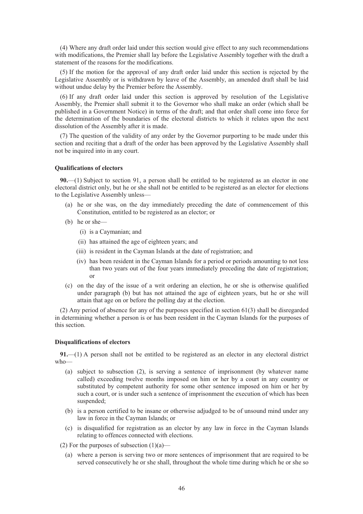(4) Where any draft order laid under this section would give effect to any such recommendations with modifications, the Premier shall lay before the Legislative Assembly together with the draft a statement of the reasons for the modifications.

(5) If the motion for the approval of any draft order laid under this section is rejected by the Legislative Assembly or is withdrawn by leave of the Assembly, an amended draft shall be laid without undue delay by the Premier before the Assembly.

(6) If any draft order laid under this section is approved by resolution of the Legislative Assembly, the Premier shall submit it to the Governor who shall make an order (which shall be published in a Government Notice) in terms of the draft; and that order shall come into force for the determination of the boundaries of the electoral districts to which it relates upon the next dissolution of the Assembly after it is made.

(7) The question of the validity of any order by the Governor purporting to be made under this section and reciting that a draft of the order has been approved by the Legislative Assembly shall not be inquired into in any court.

#### **Qualifications of electors**

**90.**—(1) Subject to section 91, a person shall be entitled to be registered as an elector in one electoral district only, but he or she shall not be entitled to be registered as an elector for elections to the Legislative Assembly unless—

- (a) he or she was, on the day immediately preceding the date of commencement of this Constitution, entitled to be registered as an elector; or
- (b) he or she—
	- (i) is a Caymanian; and
	- (ii) has attained the age of eighteen years; and
	- (iii) is resident in the Cayman Islands at the date of registration; and
	- (iv) has been resident in the Cayman Islands for a period or periods amounting to not less than two years out of the four years immediately preceding the date of registration; or
- (c) on the day of the issue of a writ ordering an election, he or she is otherwise qualified under paragraph (b) but has not attained the age of eighteen years, but he or she will attain that age on or before the polling day at the election.

(2) Any period of absence for any of the purposes specified in section 61(3) shall be disregarded in determining whether a person is or has been resident in the Cayman Islands for the purposes of this section.

#### **Disqualifications of electors**

**91.**—(1) A person shall not be entitled to be registered as an elector in any electoral district who—

- (a) subject to subsection (2), is serving a sentence of imprisonment (by whatever name called) exceeding twelve months imposed on him or her by a court in any country or substituted by competent authority for some other sentence imposed on him or her by such a court, or is under such a sentence of imprisonment the execution of which has been suspended;
- (b) is a person certified to be insane or otherwise adjudged to be of unsound mind under any law in force in the Cayman Islands; or
- (c) is disqualified for registration as an elector by any law in force in the Cayman Islands relating to offences connected with elections.

(2) For the purposes of subsection  $(1)(a)$ 

(a) where a person is serving two or more sentences of imprisonment that are required to be served consecutively he or she shall, throughout the whole time during which he or she so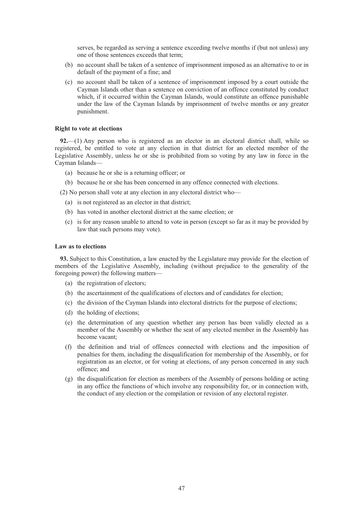serves, be regarded as serving a sentence exceeding twelve months if (but not unless) any one of those sentences exceeds that term;

- (b) no account shall be taken of a sentence of imprisonment imposed as an alternative to or in default of the payment of a fine; and
- (c) no account shall be taken of a sentence of imprisonment imposed by a court outside the Cayman Islands other than a sentence on conviction of an offence constituted by conduct which, if it occurred within the Cayman Islands, would constitute an offence punishable under the law of the Cayman Islands by imprisonment of twelve months or any greater punishment.

#### **Right to vote at elections**

**92.**—(1) Any person who is registered as an elector in an electoral district shall, while so registered, be entitled to vote at any election in that district for an elected member of the Legislative Assembly, unless he or she is prohibited from so voting by any law in force in the Cayman Islands—

- (a) because he or she is a returning officer; or
- (b) because he or she has been concerned in any offence connected with elections.

(2) No person shall vote at any election in any electoral district who—

- (a) is not registered as an elector in that district;
- (b) has voted in another electoral district at the same election; or
- (c) is for any reason unable to attend to vote in person (except so far as it may be provided by law that such persons may vote).

#### **Law as to elections**

**93.** Subject to this Constitution, a law enacted by the Legislature may provide for the election of members of the Legislative Assembly, including (without prejudice to the generality of the foregoing power) the following matters—

- (a) the registration of electors;
- (b) the ascertainment of the qualifications of electors and of candidates for election;
- (c) the division of the Cayman Islands into electoral districts for the purpose of elections;
- (d) the holding of elections;
- (e) the determination of any question whether any person has been validly elected as a member of the Assembly or whether the seat of any elected member in the Assembly has become vacant;
- (f) the definition and trial of offences connected with elections and the imposition of penalties for them, including the disqualification for membership of the Assembly, or for registration as an elector, or for voting at elections, of any person concerned in any such offence; and
- (g) the disqualification for election as members of the Assembly of persons holding or acting in any office the functions of which involve any responsibility for, or in connection with, the conduct of any election or the compilation or revision of any electoral register.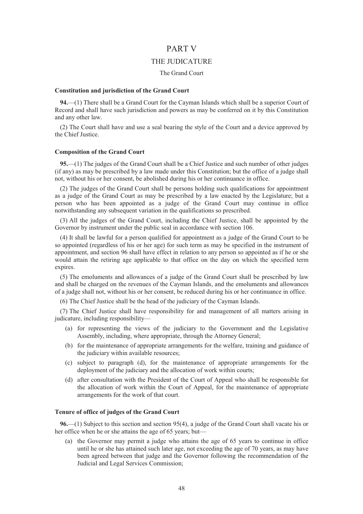## PART V

#### THE JUDICATURE

#### The Grand Court

#### **Constitution and jurisdiction of the Grand Court**

**94.**—(1) There shall be a Grand Court for the Cayman Islands which shall be a superior Court of Record and shall have such jurisdiction and powers as may be conferred on it by this Constitution and any other law.

(2) The Court shall have and use a seal bearing the style of the Court and a device approved by the Chief Instice.

#### **Composition of the Grand Court**

**95.**—(1) The judges of the Grand Court shall be a Chief Justice and such number of other judges (if any) as may be prescribed by a law made under this Constitution; but the office of a judge shall not, without his or her consent, be abolished during his or her continuance in office.

(2) The judges of the Grand Court shall be persons holding such qualifications for appointment as a judge of the Grand Court as may be prescribed by a law enacted by the Legislature; but a person who has been appointed as a judge of the Grand Court may continue in office notwithstanding any subsequent variation in the qualifications so prescribed.

(3) All the judges of the Grand Court, including the Chief Justice, shall be appointed by the Governor by instrument under the public seal in accordance with section 106.

(4) It shall be lawful for a person qualified for appointment as a judge of the Grand Court to be so appointed (regardless of his or her age) for such term as may be specified in the instrument of appointment, and section 96 shall have effect in relation to any person so appointed as if he or she would attain the retiring age applicable to that office on the day on which the specified term expires.

(5) The emoluments and allowances of a judge of the Grand Court shall be prescribed by law and shall be charged on the revenues of the Cayman Islands, and the emoluments and allowances of a judge shall not, without his or her consent, be reduced during his or her continuance in office.

(6) The Chief Justice shall be the head of the judiciary of the Cayman Islands.

(7) The Chief Justice shall have responsibility for and management of all matters arising in judicature, including responsibility—

- (a) for representing the views of the judiciary to the Government and the Legislative Assembly, including, where appropriate, through the Attorney General;
- (b) for the maintenance of appropriate arrangements for the welfare, training and guidance of the judiciary within available resources;
- (c) subject to paragraph (d), for the maintenance of appropriate arrangements for the deployment of the judiciary and the allocation of work within courts;
- (d) after consultation with the President of the Court of Appeal who shall be responsible for the allocation of work within the Court of Appeal, for the maintenance of appropriate arrangements for the work of that court.

#### **Tenure of office of judges of the Grand Court**

**96.**—(1) Subject to this section and section 95(4), a judge of the Grand Court shall vacate his or her office when he or she attains the age of 65 years; but—

(a) the Governor may permit a judge who attains the age of 65 years to continue in office until he or she has attained such later age, not exceeding the age of 70 years, as may have been agreed between that judge and the Governor following the recommendation of the Judicial and Legal Services Commission;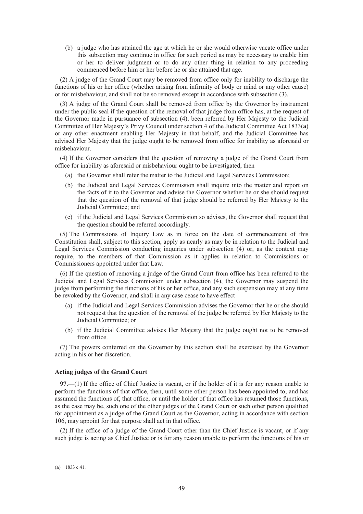(b) a judge who has attained the age at which he or she would otherwise vacate office under this subsection may continue in office for such period as may be necessary to enable him or her to deliver judgment or to do any other thing in relation to any proceeding commenced before him or her before he or she attained that age.

(2) A judge of the Grand Court may be removed from office only for inability to discharge the functions of his or her office (whether arising from infirmity of body or mind or any other cause) or for misbehaviour, and shall not be so removed except in accordance with subsection (3).

(3) A judge of the Grand Court shall be removed from office by the Governor by instrument under the public seal if the question of the removal of that judge from office has, at the request of the Governor made in pursuance of subsection (4), been referred by Her Majesty to the Judicial Committee of Her Majesty's Privy Council under section 4 of the Judicial Committee Act 1833(**a**) or any other enactment enabling Her Majesty in that behalf, and the Judicial Committee has advised Her Majesty that the judge ought to be removed from office for inability as aforesaid or misbehaviour.

(4) If the Governor considers that the question of removing a judge of the Grand Court from office for inability as aforesaid or misbehaviour ought to be investigated, then—

- (a) the Governor shall refer the matter to the Judicial and Legal Services Commission;
- (b) the Judicial and Legal Services Commission shall inquire into the matter and report on the facts of it to the Governor and advise the Governor whether he or she should request that the question of the removal of that judge should be referred by Her Majesty to the Judicial Committee; and
- (c) if the Judicial and Legal Services Commission so advises, the Governor shall request that the question should be referred accordingly.

(5) The Commissions of Inquiry Law as in force on the date of commencement of this Constitution shall, subject to this section, apply as nearly as may be in relation to the Judicial and Legal Services Commission conducting inquiries under subsection (4) or, as the context may require, to the members of that Commission as it applies in relation to Commissions or Commissioners appointed under that Law.

(6) If the question of removing a judge of the Grand Court from office has been referred to the Judicial and Legal Services Commission under subsection (4), the Governor may suspend the judge from performing the functions of his or her office, and any such suspension may at any time be revoked by the Governor, and shall in any case cease to have effect—

- (a) if the Judicial and Legal Services Commission advises the Governor that he or she should not request that the question of the removal of the judge be referred by Her Majesty to the Judicial Committee; or
- (b) if the Judicial Committee advises Her Majesty that the judge ought not to be removed from office.

(7) The powers conferred on the Governor by this section shall be exercised by the Governor acting in his or her discretion.

#### **Acting judges of the Grand Court**

**97.**—(1) If the office of Chief Justice is vacant, or if the holder of it is for any reason unable to perform the functions of that office, then, until some other person has been appointed to, and has assumed the functions of, that office, or until the holder of that office has resumed those functions, as the case may be, such one of the other judges of the Grand Court or such other person qualified for appointment as a judge of the Grand Court as the Governor, acting in accordance with section 106, may appoint for that purpose shall act in that office.

(2) If the office of a judge of the Grand Court other than the Chief Justice is vacant, or if any such judge is acting as Chief Justice or is for any reason unable to perform the functions of his or

 $\overline{a}$ 

<sup>(</sup>**a**) 1833 c.41.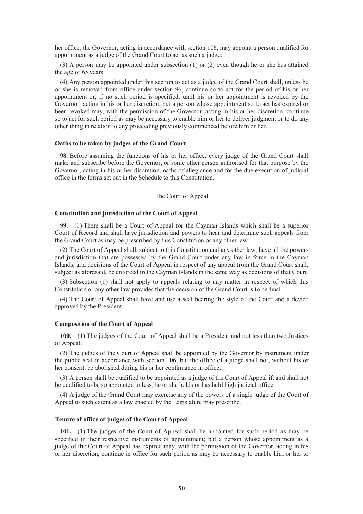her office, the Governor, acting in accordance with section 106, may appoint a person qualified for appointment as a judge of the Grand Court to act as such a judge.

(3) A person may be appointed under subsection (1) or (2) even though he or she has attained the age of 65 years.

(4) Any person appointed under this section to act as a judge of the Grand Court shall, unless he or she is removed from office under section 96, continue so to act for the period of his or her appointment or, if no such period is specified, until his or her appointment is revoked by the Governor, acting in his or her discretion; but a person whose appointment so to act has expired or been revoked may, with the permission of the Governor, acting in his or her discretion, continue so to act for such period as may be necessary to enable him or her to deliver judgment or to do any other thing in relation to any proceeding previously commenced before him or her.

#### **Oaths to be taken by judges of the Grand Court**

**98.** Before assuming the functions of his or her office, every judge of the Grand Court shall make and subscribe before the Governor, or some other person authorised for that purpose by the Governor, acting in his or her discretion, oaths of allegiance and for the due execution of judicial office in the forms set out in the Schedule to this Constitution.

#### The Court of Appeal

#### **Constitution and jurisdiction of the Court of Appeal**

**99.**—(1) There shall be a Court of Appeal for the Cayman Islands which shall be a superior Court of Record and shall have jurisdiction and powers to hear and determine such appeals from the Grand Court as may be prescribed by this Constitution or any other law.

(2) The Court of Appeal shall, subject to this Constitution and any other law, have all the powers and jurisdiction that are possessed by the Grand Court under any law in force in the Cayman Islands; and decisions of the Court of Appeal in respect of any appeal from the Grand Court shall, subject as aforesaid, be enforced in the Cayman Islands in the same way as decisions of that Court.

(3) Subsection (1) shall not apply to appeals relating to any matter in respect of which this Constitution or any other law provides that the decision of the Grand Court is to be final.

(4) The Court of Appeal shall have and use a seal bearing the style of the Court and a device approved by the President.

#### **Composition of the Court of Appeal**

**100.**—(1) The judges of the Court of Appeal shall be a President and not less than two Justices of Appeal.

(2) The judges of the Court of Appeal shall be appointed by the Governor by instrument under the public seal in accordance with section 106; but the office of a judge shall not, without his or her consent, be abolished during his or her continuance in office.

(3) A person shall be qualified to be appointed as a judge of the Court of Appeal if, and shall not be qualified to be so appointed unless, he or she holds or has held high judicial office.

(4) A judge of the Grand Court may exercise any of the powers of a single judge of the Court of Appeal to such extent as a law enacted by the Legislature may prescribe.

#### **Tenure of office of judges of the Court of Appeal**

**101.**—(1) The judges of the Court of Appeal shall be appointed for such period as may be specified in their respective instruments of appointment; but a person whose appointment as a judge of the Court of Appeal has expired may, with the permission of the Governor, acting in his or her discretion, continue in office for such period as may be necessary to enable him or her to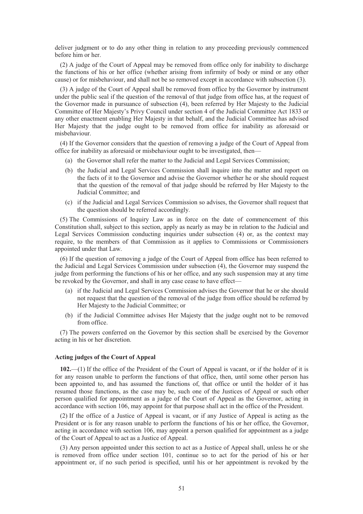deliver judgment or to do any other thing in relation to any proceeding previously commenced before him or her.

(2) A judge of the Court of Appeal may be removed from office only for inability to discharge the functions of his or her office (whether arising from infirmity of body or mind or any other cause) or for misbehaviour, and shall not be so removed except in accordance with subsection (3).

(3) A judge of the Court of Appeal shall be removed from office by the Governor by instrument under the public seal if the question of the removal of that judge from office has, at the request of the Governor made in pursuance of subsection (4), been referred by Her Majesty to the Judicial Committee of Her Majesty's Privy Council under section 4 of the Judicial Committee Act 1833 or any other enactment enabling Her Majesty in that behalf, and the Judicial Committee has advised Her Majesty that the judge ought to be removed from office for inability as aforesaid or misbehaviour.

(4) If the Governor considers that the question of removing a judge of the Court of Appeal from office for inability as aforesaid or misbehaviour ought to be investigated, then—

- (a) the Governor shall refer the matter to the Judicial and Legal Services Commission;
- (b) the Judicial and Legal Services Commission shall inquire into the matter and report on the facts of it to the Governor and advise the Governor whether he or she should request that the question of the removal of that judge should be referred by Her Majesty to the Judicial Committee; and
- (c) if the Judicial and Legal Services Commission so advises, the Governor shall request that the question should be referred accordingly.

(5) The Commissions of Inquiry Law as in force on the date of commencement of this Constitution shall, subject to this section, apply as nearly as may be in relation to the Judicial and Legal Services Commission conducting inquiries under subsection (4) or, as the context may require, to the members of that Commission as it applies to Commissions or Commissioners appointed under that Law.

(6) If the question of removing a judge of the Court of Appeal from office has been referred to the Judicial and Legal Services Commission under subsection (4), the Governor may suspend the judge from performing the functions of his or her office, and any such suspension may at any time be revoked by the Governor, and shall in any case cease to have effect—

- (a) if the Judicial and Legal Services Commission advises the Governor that he or she should not request that the question of the removal of the judge from office should be referred by Her Majesty to the Judicial Committee; or
- (b) if the Judicial Committee advises Her Majesty that the judge ought not to be removed from office.

(7) The powers conferred on the Governor by this section shall be exercised by the Governor acting in his or her discretion.

#### **Acting judges of the Court of Appeal**

**102.**—(1) If the office of the President of the Court of Appeal is vacant, or if the holder of it is for any reason unable to perform the functions of that office, then, until some other person has been appointed to, and has assumed the functions of, that office or until the holder of it has resumed those functions, as the case may be, such one of the Justices of Appeal or such other person qualified for appointment as a judge of the Court of Appeal as the Governor, acting in accordance with section 106, may appoint for that purpose shall act in the office of the President.

(2) If the office of a Justice of Appeal is vacant, or if any Justice of Appeal is acting as the President or is for any reason unable to perform the functions of his or her office, the Governor, acting in accordance with section 106, may appoint a person qualified for appointment as a judge of the Court of Appeal to act as a Justice of Appeal.

(3) Any person appointed under this section to act as a Justice of Appeal shall, unless he or she is removed from office under section 101, continue so to act for the period of his or her appointment or, if no such period is specified, until his or her appointment is revoked by the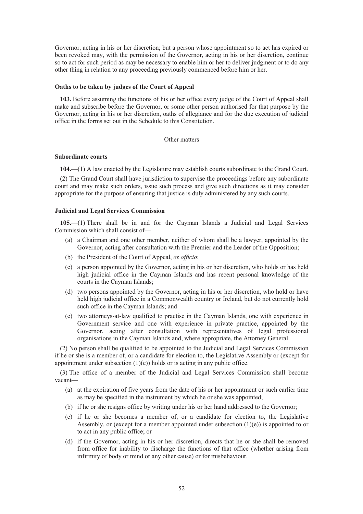Governor, acting in his or her discretion; but a person whose appointment so to act has expired or been revoked may, with the permission of the Governor, acting in his or her discretion, continue so to act for such period as may be necessary to enable him or her to deliver judgment or to do any other thing in relation to any proceeding previously commenced before him or her.

#### **Oaths to be taken by judges of the Court of Appeal**

**103.** Before assuming the functions of his or her office every judge of the Court of Appeal shall make and subscribe before the Governor, or some other person authorised for that purpose by the Governor, acting in his or her discretion, oaths of allegiance and for the due execution of judicial office in the forms set out in the Schedule to this Constitution.

#### Other matters

#### **Subordinate courts**

**104.**—(1) A law enacted by the Legislature may establish courts subordinate to the Grand Court.

(2) The Grand Court shall have jurisdiction to supervise the proceedings before any subordinate court and may make such orders, issue such process and give such directions as it may consider appropriate for the purpose of ensuring that justice is duly administered by any such courts.

#### **Judicial and Legal Services Commission**

**105.**—(1) There shall be in and for the Cayman Islands a Judicial and Legal Services Commission which shall consist of—

- (a) a Chairman and one other member, neither of whom shall be a lawyer, appointed by the Governor, acting after consultation with the Premier and the Leader of the Opposition;
- (b) the President of the Court of Appeal, *ex officio*;
- (c) a person appointed by the Governor, acting in his or her discretion, who holds or has held high judicial office in the Cayman Islands and has recent personal knowledge of the courts in the Cayman Islands;
- (d) two persons appointed by the Governor, acting in his or her discretion, who hold or have held high judicial office in a Commonwealth country or Ireland, but do not currently hold such office in the Cayman Islands; and
- (e) two attorneys-at-law qualified to practise in the Cayman Islands, one with experience in Government service and one with experience in private practice, appointed by the Governor, acting after consultation with representatives of legal professional organisations in the Cayman Islands and, where appropriate, the Attorney General.

(2) No person shall be qualified to be appointed to the Judicial and Legal Services Commission if he or she is a member of, or a candidate for election to, the Legislative Assembly or (except for appointment under subsection  $(1)(e)$ ) holds or is acting in any public office.

(3) The office of a member of the Judicial and Legal Services Commission shall become vacant—

- (a) at the expiration of five years from the date of his or her appointment or such earlier time as may be specified in the instrument by which he or she was appointed;
- (b) if he or she resigns office by writing under his or her hand addressed to the Governor;
- (c) if he or she becomes a member of, or a candidate for election to, the Legislative Assembly, or (except for a member appointed under subsection  $(1)(e)$ ) is appointed to or to act in any public office; or
- (d) if the Governor, acting in his or her discretion, directs that he or she shall be removed from office for inability to discharge the functions of that office (whether arising from infirmity of body or mind or any other cause) or for misbehaviour.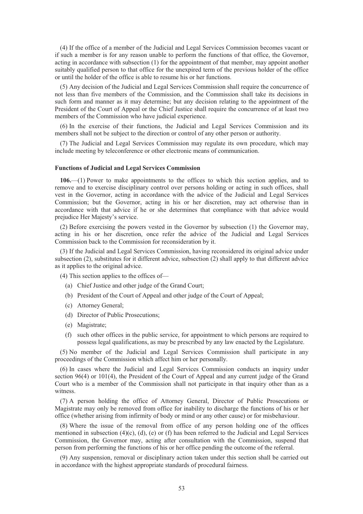(4) If the office of a member of the Judicial and Legal Services Commission becomes vacant or if such a member is for any reason unable to perform the functions of that office, the Governor, acting in accordance with subsection (1) for the appointment of that member, may appoint another suitably qualified person to that office for the unexpired term of the previous holder of the office or until the holder of the office is able to resume his or her functions.

(5) Any decision of the Judicial and Legal Services Commission shall require the concurrence of not less than five members of the Commission, and the Commission shall take its decisions in such form and manner as it may determine; but any decision relating to the appointment of the President of the Court of Appeal or the Chief Justice shall require the concurrence of at least two members of the Commission who have judicial experience.

(6) In the exercise of their functions, the Judicial and Legal Services Commission and its members shall not be subject to the direction or control of any other person or authority.

(7) The Judicial and Legal Services Commission may regulate its own procedure, which may include meeting by teleconference or other electronic means of communication.

#### **Functions of Judicial and Legal Services Commission**

**106.**—(1) Power to make appointments to the offices to which this section applies, and to remove and to exercise disciplinary control over persons holding or acting in such offices, shall vest in the Governor, acting in accordance with the advice of the Judicial and Legal Services Commission; but the Governor, acting in his or her discretion, may act otherwise than in accordance with that advice if he or she determines that compliance with that advice would prejudice Her Majesty's service.

(2) Before exercising the powers vested in the Governor by subsection (1) the Governor may, acting in his or her discretion, once refer the advice of the Judicial and Legal Services Commission back to the Commission for reconsideration by it.

(3) If the Judicial and Legal Services Commission, having reconsidered its original advice under subsection (2), substitutes for it different advice, subsection (2) shall apply to that different advice as it applies to the original advice.

(4) This section applies to the offices of—

- (a) Chief Justice and other judge of the Grand Court;
- (b) President of the Court of Appeal and other judge of the Court of Appeal;
- (c) Attorney General;
- (d) Director of Public Prosecutions;
- (e) Magistrate;
- (f) such other offices in the public service, for appointment to which persons are required to possess legal qualifications, as may be prescribed by any law enacted by the Legislature.

(5) No member of the Judicial and Legal Services Commission shall participate in any proceedings of the Commission which affect him or her personally.

(6) In cases where the Judicial and Legal Services Commission conducts an inquiry under section 96(4) or 101(4), the President of the Court of Appeal and any current judge of the Grand Court who is a member of the Commission shall not participate in that inquiry other than as a witness.

(7) A person holding the office of Attorney General, Director of Public Prosecutions or Magistrate may only be removed from office for inability to discharge the functions of his or her office (whether arising from infirmity of body or mind or any other cause) or for misbehaviour.

(8) Where the issue of the removal from office of any person holding one of the offices mentioned in subsection  $(4)(c)$ ,  $(d)$ ,  $(e)$  or  $(f)$  has been referred to the Judicial and Legal Services Commission, the Governor may, acting after consultation with the Commission, suspend that person from performing the functions of his or her office pending the outcome of the referral.

(9) Any suspension, removal or disciplinary action taken under this section shall be carried out in accordance with the highest appropriate standards of procedural fairness.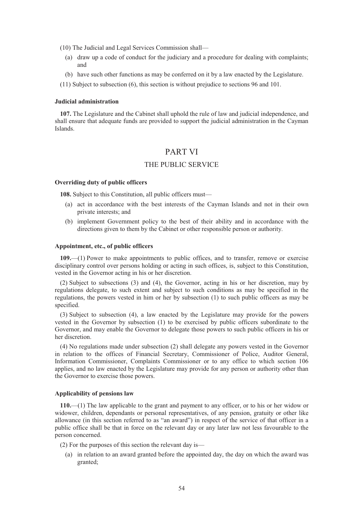(10) The Judicial and Legal Services Commission shall—

- (a) draw up a code of conduct for the judiciary and a procedure for dealing with complaints; and
- (b) have such other functions as may be conferred on it by a law enacted by the Legislature.
- (11) Subject to subsection (6), this section is without prejudice to sections 96 and 101.

#### **Judicial administration**

**107.** The Legislature and the Cabinet shall uphold the rule of law and judicial independence, and shall ensure that adequate funds are provided to support the judicial administration in the Cayman Islands.

## PART VI

## THE PUBLIC SERVICE

#### **Overriding duty of public officers**

**108.** Subject to this Constitution, all public officers must—

- (a) act in accordance with the best interests of the Cayman Islands and not in their own private interests; and
- (b) implement Government policy to the best of their ability and in accordance with the directions given to them by the Cabinet or other responsible person or authority.

#### **Appointment, etc., of public officers**

**109.**—(1) Power to make appointments to public offices, and to transfer, remove or exercise disciplinary control over persons holding or acting in such offices, is, subject to this Constitution, vested in the Governor acting in his or her discretion.

(2) Subject to subsections (3) and (4), the Governor, acting in his or her discretion, may by regulations delegate, to such extent and subject to such conditions as may be specified in the regulations, the powers vested in him or her by subsection (1) to such public officers as may be specified.

(3) Subject to subsection (4), a law enacted by the Legislature may provide for the powers vested in the Governor by subsection (1) to be exercised by public officers subordinate to the Governor, and may enable the Governor to delegate those powers to such public officers in his or her discretion.

(4) No regulations made under subsection (2) shall delegate any powers vested in the Governor in relation to the offices of Financial Secretary, Commissioner of Police, Auditor General, Information Commissioner, Complaints Commissioner or to any office to which section 106 applies, and no law enacted by the Legislature may provide for any person or authority other than the Governor to exercise those powers.

#### **Applicability of pensions law**

**110.**—(1) The law applicable to the grant and payment to any officer, or to his or her widow or widower, children, dependants or personal representatives, of any pension, gratuity or other like allowance (in this section referred to as "an award") in respect of the service of that officer in a public office shall be that in force on the relevant day or any later law not less favourable to the person concerned.

(2) For the purposes of this section the relevant day is—

(a) in relation to an award granted before the appointed day, the day on which the award was granted;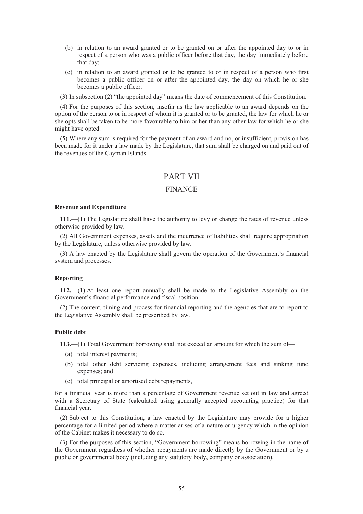- (b) in relation to an award granted or to be granted on or after the appointed day to or in respect of a person who was a public officer before that day, the day immediately before that day;
- (c) in relation to an award granted or to be granted to or in respect of a person who first becomes a public officer on or after the appointed day, the day on which he or she becomes a public officer.
- (3) In subsection (2) "the appointed day" means the date of commencement of this Constitution.

(4) For the purposes of this section, insofar as the law applicable to an award depends on the option of the person to or in respect of whom it is granted or to be granted, the law for which he or she opts shall be taken to be more favourable to him or her than any other law for which he or she might have opted.

(5) Where any sum is required for the payment of an award and no, or insufficient, provision has been made for it under a law made by the Legislature, that sum shall be charged on and paid out of the revenues of the Cayman Islands.

## PART VII

#### FINANCE

#### **Revenue and Expenditure**

**111.**—(1) The Legislature shall have the authority to levy or change the rates of revenue unless otherwise provided by law.

(2) All Government expenses, assets and the incurrence of liabilities shall require appropriation by the Legislature, unless otherwise provided by law.

(3) A law enacted by the Legislature shall govern the operation of the Government's financial system and processes.

#### **Reporting**

**112.**—(1) At least one report annually shall be made to the Legislative Assembly on the Government's financial performance and fiscal position.

(2) The content, timing and process for financial reporting and the agencies that are to report to the Legislative Assembly shall be prescribed by law.

#### **Public debt**

**113.**—(1) Total Government borrowing shall not exceed an amount for which the sum of—

- (a) total interest payments;
- (b) total other debt servicing expenses, including arrangement fees and sinking fund expenses; and
- (c) total principal or amortised debt repayments,

for a financial year is more than a percentage of Government revenue set out in law and agreed with a Secretary of State (calculated using generally accepted accounting practice) for that financial year.

(2) Subject to this Constitution, a law enacted by the Legislature may provide for a higher percentage for a limited period where a matter arises of a nature or urgency which in the opinion of the Cabinet makes it necessary to do so.

(3) For the purposes of this section, "Government borrowing" means borrowing in the name of the Government regardless of whether repayments are made directly by the Government or by a public or governmental body (including any statutory body, company or association).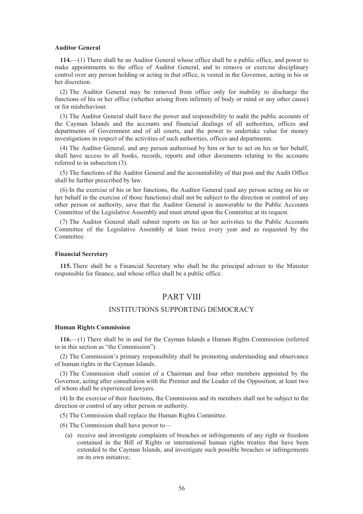#### **Auditor General**

**114.**—(1) There shall be an Auditor General whose office shall be a public office, and power to make appointments to the office of Auditor General, and to remove or exercise disciplinary control over any person holding or acting in that office, is vested in the Governor, acting in his or her discretion.

(2) The Auditor General may be removed from office only for inability to discharge the functions of his or her office (whether arising from infirmity of body or mind or any other cause) or for misbehaviour.

(3) The Auditor General shall have the power and responsibility to audit the public accounts of the Cayman Islands and the accounts and financial dealings of all authorities, offices and departments of Government and of all courts, and the power to undertake value for money investigations in respect of the activities of such authorities, offices and departments.

(4) The Auditor General, and any person authorised by him or her to act on his or her behalf, shall have access to all books, records, reports and other documents relating to the accounts referred to in subsection (3).

(5) The functions of the Auditor General and the accountability of that post and the Audit Office shall be further prescribed by law.

(6) In the exercise of his or her functions, the Auditor General (and any person acting on his or her behalf in the exercise of those functions) shall not be subject to the direction or control of any other person or authority, save that the Auditor General is answerable to the Public Accounts Committee of the Legislative Assembly and must attend upon the Committee at its request.

(7) The Auditor General shall submit reports on his or her activities to the Public Accounts Committee of the Legislative Assembly at least twice every year and as requested by the Committee.

#### **Financial Secretary**

**115.** There shall be a Financial Secretary who shall be the principal adviser to the Minister responsible for finance, and whose office shall be a public office.

## PART VIII

#### INSTITUTIONS SUPPORTING DEMOCRACY

#### **Human Rights Commission**

**116.**—(1) There shall be in and for the Cayman Islands a Human Rights Commission (referred to in this section as "the Commission").

(2) The Commission's primary responsibility shall be promoting understanding and observance of human rights in the Cayman Islands.

(3) The Commission shall consist of a Chairman and four other members appointed by the Governor, acting after consultation with the Premier and the Leader of the Opposition, at least two of whom shall be experienced lawyers.

(4) In the exercise of their functions, the Commission and its members shall not be subject to the direction or control of any other person or authority.

- (5) The Commission shall replace the Human Rights Committee.
- (6) The Commission shall have power to—
	- (a) receive and investigate complaints of breaches or infringements of any right or freedom contained in the Bill of Rights or international human rights treaties that have been extended to the Cayman Islands, and investigate such possible breaches or infringements on its own initiative;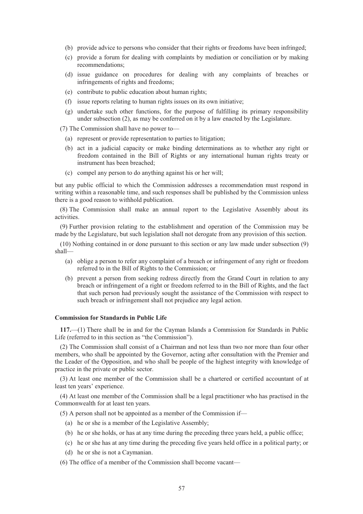- (b) provide advice to persons who consider that their rights or freedoms have been infringed;
- (c) provide a forum for dealing with complaints by mediation or conciliation or by making recommendations;
- (d) issue guidance on procedures for dealing with any complaints of breaches or infringements of rights and freedoms;
- (e) contribute to public education about human rights;
- (f) issue reports relating to human rights issues on its own initiative;
- (g) undertake such other functions, for the purpose of fulfilling its primary responsibility under subsection (2), as may be conferred on it by a law enacted by the Legislature.

(7) The Commission shall have no power to—

- (a) represent or provide representation to parties to litigation;
- (b) act in a judicial capacity or make binding determinations as to whether any right or freedom contained in the Bill of Rights or any international human rights treaty or instrument has been breached;
- (c) compel any person to do anything against his or her will;

but any public official to which the Commission addresses a recommendation must respond in writing within a reasonable time, and such responses shall be published by the Commission unless there is a good reason to withhold publication.

(8) The Commission shall make an annual report to the Legislative Assembly about its activities.

(9) Further provision relating to the establishment and operation of the Commission may be made by the Legislature, but such legislation shall not derogate from any provision of this section.

(10) Nothing contained in or done pursuant to this section or any law made under subsection (9) shall—

- (a) oblige a person to refer any complaint of a breach or infringement of any right or freedom referred to in the Bill of Rights to the Commission; or
- (b) prevent a person from seeking redress directly from the Grand Court in relation to any breach or infringement of a right or freedom referred to in the Bill of Rights, and the fact that such person had previously sought the assistance of the Commission with respect to such breach or infringement shall not prejudice any legal action.

#### **Commission for Standards in Public Life**

**117.**—(1) There shall be in and for the Cayman Islands a Commission for Standards in Public Life (referred to in this section as "the Commission").

(2) The Commission shall consist of a Chairman and not less than two nor more than four other members, who shall be appointed by the Governor, acting after consultation with the Premier and the Leader of the Opposition, and who shall be people of the highest integrity with knowledge of practice in the private or public sector.

(3) At least one member of the Commission shall be a chartered or certified accountant of at least ten years' experience.

(4) At least one member of the Commission shall be a legal practitioner who has practised in the Commonwealth for at least ten years.

(5) A person shall not be appointed as a member of the Commission if—

- (a) he or she is a member of the Legislative Assembly;
- (b) he or she holds, or has at any time during the preceding three years held, a public office;
- (c) he or she has at any time during the preceding five years held office in a political party; or
- (d) he or she is not a Caymanian.
- (6) The office of a member of the Commission shall become vacant—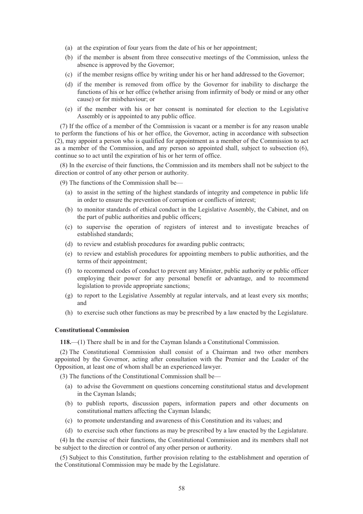- (a) at the expiration of four years from the date of his or her appointment;
- (b) if the member is absent from three consecutive meetings of the Commission, unless the absence is approved by the Governor;
- (c) if the member resigns office by writing under his or her hand addressed to the Governor;
- (d) if the member is removed from office by the Governor for inability to discharge the functions of his or her office (whether arising from infirmity of body or mind or any other cause) or for misbehaviour; or
- (e) if the member with his or her consent is nominated for election to the Legislative Assembly or is appointed to any public office.

(7) If the office of a member of the Commission is vacant or a member is for any reason unable to perform the functions of his or her office, the Governor, acting in accordance with subsection (2), may appoint a person who is qualified for appointment as a member of the Commission to act as a member of the Commission, and any person so appointed shall, subject to subsection (6), continue so to act until the expiration of his or her term of office.

(8) In the exercise of their functions, the Commission and its members shall not be subject to the direction or control of any other person or authority.

(9) The functions of the Commission shall be—

- (a) to assist in the setting of the highest standards of integrity and competence in public life in order to ensure the prevention of corruption or conflicts of interest;
- (b) to monitor standards of ethical conduct in the Legislative Assembly, the Cabinet, and on the part of public authorities and public officers;
- (c) to supervise the operation of registers of interest and to investigate breaches of established standards;
- (d) to review and establish procedures for awarding public contracts;
- (e) to review and establish procedures for appointing members to public authorities, and the terms of their appointment;
- (f) to recommend codes of conduct to prevent any Minister, public authority or public officer employing their power for any personal benefit or advantage, and to recommend legislation to provide appropriate sanctions;
- (g) to report to the Legislative Assembly at regular intervals, and at least every six months; and
- (h) to exercise such other functions as may be prescribed by a law enacted by the Legislature.

#### **Constitutional Commission**

**118.**—(1) There shall be in and for the Cayman Islands a Constitutional Commission.

(2) The Constitutional Commission shall consist of a Chairman and two other members appointed by the Governor, acting after consultation with the Premier and the Leader of the Opposition, at least one of whom shall be an experienced lawyer.

(3) The functions of the Constitutional Commission shall be—

- (a) to advise the Government on questions concerning constitutional status and development in the Cayman Islands;
- (b) to publish reports, discussion papers, information papers and other documents on constitutional matters affecting the Cayman Islands;
- (c) to promote understanding and awareness of this Constitution and its values; and
- (d) to exercise such other functions as may be prescribed by a law enacted by the Legislature.

(4) In the exercise of their functions, the Constitutional Commission and its members shall not be subject to the direction or control of any other person or authority.

(5) Subject to this Constitution, further provision relating to the establishment and operation of the Constitutional Commission may be made by the Legislature.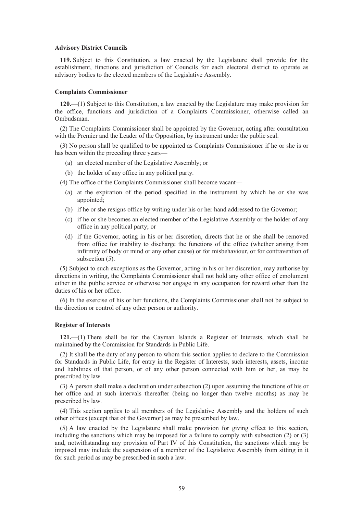#### **Advisory District Councils**

**119.** Subject to this Constitution, a law enacted by the Legislature shall provide for the establishment, functions and jurisdiction of Councils for each electoral district to operate as advisory bodies to the elected members of the Legislative Assembly.

#### **Complaints Commissioner**

**120.**—(1) Subject to this Constitution, a law enacted by the Legislature may make provision for the office, functions and jurisdiction of a Complaints Commissioner, otherwise called an Ombudsman.

(2) The Complaints Commissioner shall be appointed by the Governor, acting after consultation with the Premier and the Leader of the Opposition, by instrument under the public seal.

(3) No person shall be qualified to be appointed as Complaints Commissioner if he or she is or has been within the preceding three years—

- (a) an elected member of the Legislative Assembly; or
- (b) the holder of any office in any political party.

(4) The office of the Complaints Commissioner shall become vacant—

- (a) at the expiration of the period specified in the instrument by which he or she was appointed;
- (b) if he or she resigns office by writing under his or her hand addressed to the Governor;
- (c) if he or she becomes an elected member of the Legislative Assembly or the holder of any office in any political party; or
- (d) if the Governor, acting in his or her discretion, directs that he or she shall be removed from office for inability to discharge the functions of the office (whether arising from infirmity of body or mind or any other cause) or for misbehaviour, or for contravention of subsection  $(5)$ .

(5) Subject to such exceptions as the Governor, acting in his or her discretion, may authorise by directions in writing, the Complaints Commissioner shall not hold any other office of emolument either in the public service or otherwise nor engage in any occupation for reward other than the duties of his or her office.

(6) In the exercise of his or her functions, the Complaints Commissioner shall not be subject to the direction or control of any other person or authority.

#### **Register of Interests**

**121.**—(1) There shall be for the Cayman Islands a Register of Interests, which shall be maintained by the Commission for Standards in Public Life.

(2) It shall be the duty of any person to whom this section applies to declare to the Commission for Standards in Public Life, for entry in the Register of Interests, such interests, assets, income and liabilities of that person, or of any other person connected with him or her, as may be prescribed by law.

(3) A person shall make a declaration under subsection (2) upon assuming the functions of his or her office and at such intervals thereafter (being no longer than twelve months) as may be prescribed by law.

(4) This section applies to all members of the Legislative Assembly and the holders of such other offices (except that of the Governor) as may be prescribed by law.

(5) A law enacted by the Legislature shall make provision for giving effect to this section, including the sanctions which may be imposed for a failure to comply with subsection (2) or (3) and, notwithstanding any provision of Part IV of this Constitution, the sanctions which may be imposed may include the suspension of a member of the Legislative Assembly from sitting in it for such period as may be prescribed in such a law.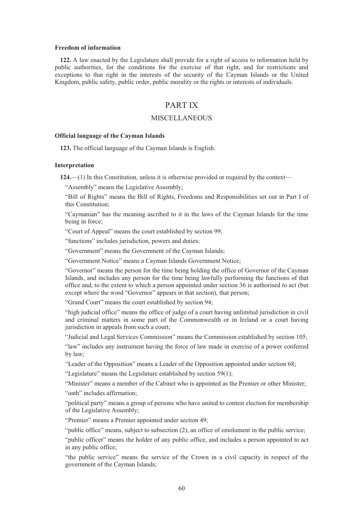#### **Freedom of information**

**122.** A law enacted by the Legislature shall provide for a right of access to information held by public authorities, for the conditions for the exercise of that right, and for restrictions and exceptions to that right in the interests of the security of the Cayman Islands or the United Kingdom, public safety, public order, public morality or the rights or interests of individuals.

## PART IX

#### **MISCELLANEOUS**

#### **Official language of the Cayman Islands**

**123.** The official language of the Cayman Islands is English.

#### **Interpretation**

**124.**—(1) In this Constitution, unless it is otherwise provided or required by the context—

"Assembly" means the Legislative Assembly;

"Bill of Rights" means the Bill of Rights, Freedoms and Responsibilities set out in Part I of this Constitution;

"Caymanian" has the meaning ascribed to it in the laws of the Cayman Islands for the time being in force;

"Court of Appeal" means the court established by section 99;

"functions" includes jurisdiction, powers and duties;

"Government" means the Government of the Cayman Islands;

"Government Notice" means a Cayman Islands Government Notice;

"Governor" means the person for the time being holding the office of Governor of the Cayman Islands, and includes any person for the time being lawfully performing the functions of that office and, to the extent to which a person appointed under section 36 is authorised to act (but except where the word "Governor" appears in that section), that person;

"Grand Court" means the court established by section 94;

"high judicial office" means the office of judge of a court having unlimited jurisdiction in civil and criminal matters in some part of the Commonwealth or in Ireland or a court having jurisdiction in appeals from such a court;

"Judicial and Legal Services Commission" means the Commission established by section 105;

"law" includes any instrument having the force of law made in exercise of a power conferred by law;

"Leader of the Opposition" means a Leader of the Opposition appointed under section 68;

"Legislature" means the Legislature established by section 59(1);

"Minister" means a member of the Cabinet who is appointed as the Premier or other Minister; "oath" includes affirmation;

"political party" means a group of persons who have united to contest election for membership of the Legislative Assembly;

"Premier" means a Premier appointed under section 49;

"public office" means, subject to subsection (2), an office of emolument in the public service;

"public officer" means the holder of any public office, and includes a person appointed to act in any public office;

"the public service" means the service of the Crown in a civil capacity in respect of the government of the Cayman Islands;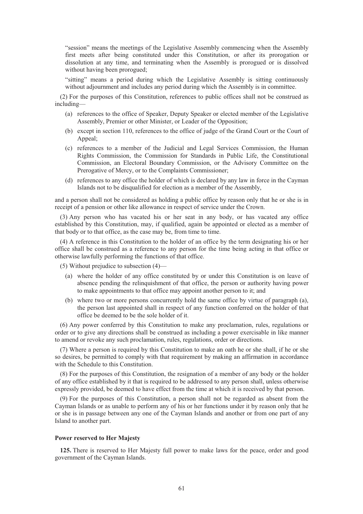"session" means the meetings of the Legislative Assembly commencing when the Assembly first meets after being constituted under this Constitution, or after its prorogation or dissolution at any time, and terminating when the Assembly is prorogued or is dissolved without having been prorogued;

"sitting" means a period during which the Legislative Assembly is sitting continuously without adjournment and includes any period during which the Assembly is in committee.

(2) For the purposes of this Constitution, references to public offices shall not be construed as including—

- (a) references to the office of Speaker, Deputy Speaker or elected member of the Legislative Assembly, Premier or other Minister, or Leader of the Opposition;
- (b) except in section 110, references to the office of judge of the Grand Court or the Court of Appeal;
- (c) references to a member of the Judicial and Legal Services Commission, the Human Rights Commission, the Commission for Standards in Public Life, the Constitutional Commission, an Electoral Boundary Commission, or the Advisory Committee on the Prerogative of Mercy, or to the Complaints Commissioner;
- (d) references to any office the holder of which is declared by any law in force in the Cayman Islands not to be disqualified for election as a member of the Assembly,

and a person shall not be considered as holding a public office by reason only that he or she is in receipt of a pension or other like allowance in respect of service under the Crown.

(3) Any person who has vacated his or her seat in any body, or has vacated any office established by this Constitution, may, if qualified, again be appointed or elected as a member of that body or to that office, as the case may be, from time to time.

(4) A reference in this Constitution to the holder of an office by the term designating his or her office shall be construed as a reference to any person for the time being acting in that office or otherwise lawfully performing the functions of that office.

(5) Without prejudice to subsection (4)—

- (a) where the holder of any office constituted by or under this Constitution is on leave of absence pending the relinquishment of that office, the person or authority having power to make appointments to that office may appoint another person to it; and
- (b) where two or more persons concurrently hold the same office by virtue of paragraph (a), the person last appointed shall in respect of any function conferred on the holder of that office be deemed to be the sole holder of it.

(6) Any power conferred by this Constitution to make any proclamation, rules, regulations or order or to give any directions shall be construed as including a power exercisable in like manner to amend or revoke any such proclamation, rules, regulations, order or directions.

(7) Where a person is required by this Constitution to make an oath he or she shall, if he or she so desires, be permitted to comply with that requirement by making an affirmation in accordance with the Schedule to this Constitution.

(8) For the purposes of this Constitution, the resignation of a member of any body or the holder of any office established by it that is required to be addressed to any person shall, unless otherwise expressly provided, be deemed to have effect from the time at which it is received by that person.

(9) For the purposes of this Constitution, a person shall not be regarded as absent from the Cayman Islands or as unable to perform any of his or her functions under it by reason only that he or she is in passage between any one of the Cayman Islands and another or from one part of any Island to another part.

#### **Power reserved to Her Majesty**

**125.** There is reserved to Her Majesty full power to make laws for the peace, order and good government of the Cayman Islands.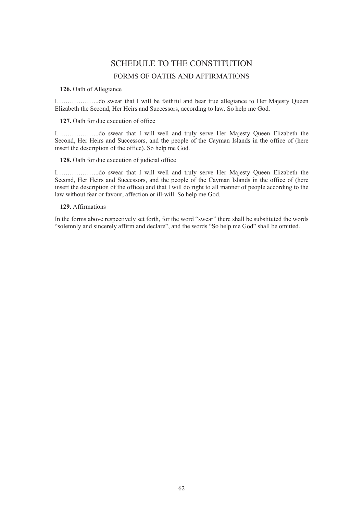# SCHEDULE TO THE CONSTITUTION FORMS OF OATHS AND AFFIRMATIONS

#### **126.** Oath of Allegiance

I………………..do swear that I will be faithful and bear true allegiance to Her Majesty Queen Elizabeth the Second, Her Heirs and Successors, according to law. So help me God.

#### **127.** Oath for due execution of office

I………………..do swear that I will well and truly serve Her Majesty Queen Elizabeth the Second, Her Heirs and Successors, and the people of the Cayman Islands in the office of (here insert the description of the office). So help me God.

#### **128.** Oath for due execution of judicial office

I………………..do swear that I will well and truly serve Her Majesty Queen Elizabeth the Second, Her Heirs and Successors, and the people of the Cayman Islands in the office of (here insert the description of the office) and that I will do right to all manner of people according to the law without fear or favour, affection or ill-will. So help me God.

#### **129.** Affirmations

In the forms above respectively set forth, for the word "swear" there shall be substituted the words "solemnly and sincerely affirm and declare", and the words "So help me God" shall be omitted.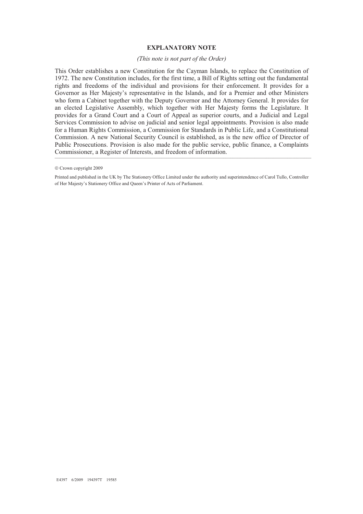#### **EXPLANATORY NOTE**

#### *(This note is not part of the Order)*

This Order establishes a new Constitution for the Cayman Islands, to replace the Constitution of 1972. The new Constitution includes, for the first time, a Bill of Rights setting out the fundamental rights and freedoms of the individual and provisions for their enforcement. It provides for a Governor as Her Majesty's representative in the Islands, and for a Premier and other Ministers who form a Cabinet together with the Deputy Governor and the Attorney General. It provides for an elected Legislative Assembly, which together with Her Majesty forms the Legislature. It provides for a Grand Court and a Court of Appeal as superior courts, and a Judicial and Legal Services Commission to advise on judicial and senior legal appointments. Provision is also made for a Human Rights Commission, a Commission for Standards in Public Life, and a Constitutional Commission. A new National Security Council is established, as is the new office of Director of Public Prosecutions. Provision is also made for the public service, public finance, a Complaints Commissioner, a Register of Interests, and freedom of information.

 $©$  Crown copyright 2009

Printed and published in the UK by The Stationery Office Limited under the authority and superintendence of Carol Tullo, Controller of Her Majesty's Stationery Office and Queen's Printer of Acts of Parliament.